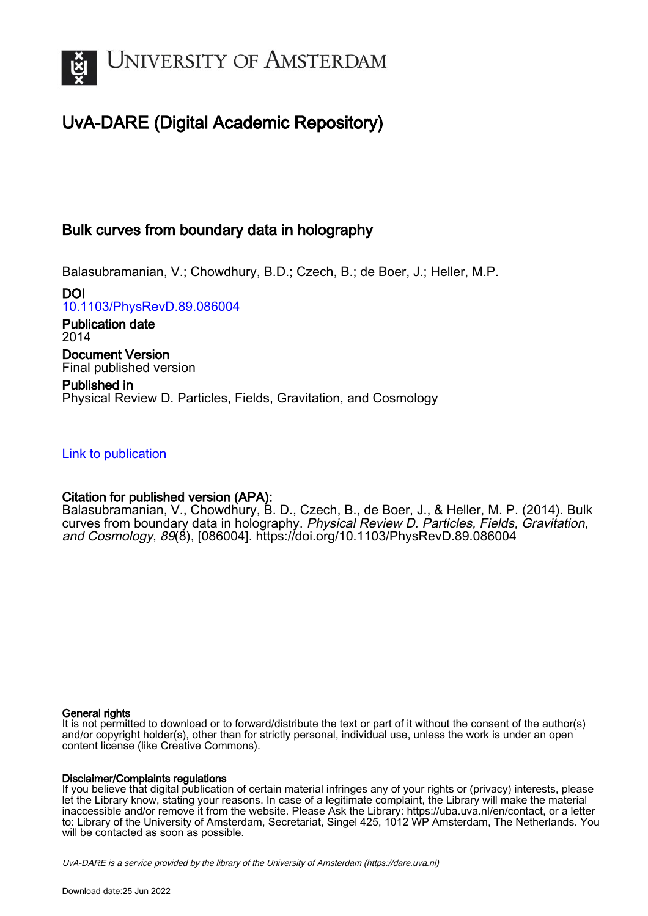

# UvA-DARE (Digital Academic Repository)

## Bulk curves from boundary data in holography

Balasubramanian, V.; Chowdhury, B.D.; Czech, B.; de Boer, J.; Heller, M.P.

DOI [10.1103/PhysRevD.89.086004](https://doi.org/10.1103/PhysRevD.89.086004)

Publication date 2014 Document Version

Final published version Published in Physical Review D. Particles, Fields, Gravitation, and Cosmology

## [Link to publication](https://dare.uva.nl/personal/pure/en/publications/bulk-curves-from-boundary-data-in-holography(3fb78c77-d835-4ac0-b4b3-0015ac634cf2).html)

## Citation for published version (APA):

Balasubramanian, V., Chowdhury, B. D., Czech, B., de Boer, J., & Heller, M. P. (2014). Bulk curves from boundary data in holography. Physical Review D. Particles, Fields, Gravitation, and Cosmology, 89(8), [086004]. <https://doi.org/10.1103/PhysRevD.89.086004>

## General rights

It is not permitted to download or to forward/distribute the text or part of it without the consent of the author(s) and/or copyright holder(s), other than for strictly personal, individual use, unless the work is under an open content license (like Creative Commons).

## Disclaimer/Complaints regulations

If you believe that digital publication of certain material infringes any of your rights or (privacy) interests, please let the Library know, stating your reasons. In case of a legitimate complaint, the Library will make the material inaccessible and/or remove it from the website. Please Ask the Library: https://uba.uva.nl/en/contact, or a letter to: Library of the University of Amsterdam, Secretariat, Singel 425, 1012 WP Amsterdam, The Netherlands. You will be contacted as soon as possible.

UvA-DARE is a service provided by the library of the University of Amsterdam (http*s*://dare.uva.nl)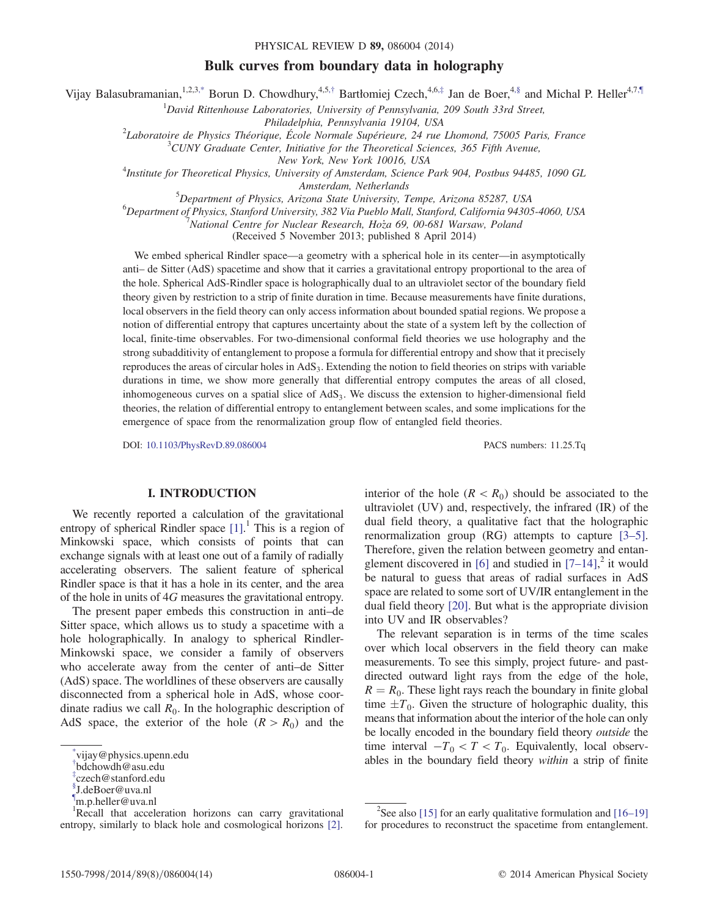## Bulk curves from boundary data in holography

<span id="page-1-5"></span>Vijay Balasubramanian,<sup>1,2,[3,\\*](#page-1-0)</sup> Borun D. Chowdhury,<sup>4,5,[†](#page-1-1)</sup> Bartłomiej Czech,<sup>4,6,[‡](#page-1-2)</sup> Jan de Boer,<sup>[4,§](#page-1-3)</sup> and Michal P. Heller<sup>4,7[,¶](#page-1-4)</sup>

 ${}^{1}$ David Rittenhouse Laboratories, University of Pennsylvania, 209 South 33rd Street,

Philadelphia, Pennsylvania 19104, USA<br><sup>2</sup>Laboratoire de Physics Théorique, École Normale Synériques, 24 rue

Laboratoire de Physics Théorique, École Normale Supérieure, 24 rue Lhomond, 75005 Paris, France<br>3 CUNY Craduate Center, Initiative for the Theoratical Sciences, 365 Fifth Avenue

 $^{3}$ CUNY Graduate Center, Initiative for the Theoretical Sciences, 365 Fifth Avenue,

New York, New York 10016, USA<br>Institute for Theoretical Physics, University of Amsterdam, Science Park 904, Postbus 94485, 1090 GL<sup>4</sup>

Amsterdam, Netherlands<br><sup>5</sup> Department of Physics, Arizona State University, 7

 $^{5}$ Department of Physics, Arizona State University, Tempe, Arizona 85287, USA 6.<br> $^{6}$ Department of Physics, Stanford University, 382 Via Pueblo Mall, Stanford, California 04303.

 $^6$ Department of Physics, Stanford University, 382 Via Pueblo Mall, Stanford, California 94305-4060, USA

National Centre for Nuclear Research, Hoza 69, 00-681 Warsaw, Poland \_

(Received 5 November 2013; published 8 April 2014)

We embed spherical Rindler space—a geometry with a spherical hole in its center—in asymptotically anti– de Sitter (AdS) spacetime and show that it carries a gravitational entropy proportional to the area of the hole. Spherical AdS-Rindler space is holographically dual to an ultraviolet sector of the boundary field theory given by restriction to a strip of finite duration in time. Because measurements have finite durations, local observers in the field theory can only access information about bounded spatial regions. We propose a notion of differential entropy that captures uncertainty about the state of a system left by the collection of local, finite-time observables. For two-dimensional conformal field theories we use holography and the strong subadditivity of entanglement to propose a formula for differential entropy and show that it precisely reproduces the areas of circular holes in AdS<sub>3</sub>. Extending the notion to field theories on strips with variable durations in time, we show more generally that differential entropy computes the areas of all closed, inhomogeneous curves on a spatial slice of  $AdS<sub>3</sub>$ . We discuss the extension to higher-dimensional field theories, the relation of differential entropy to entanglement between scales, and some implications for the emergence of space from the renormalization group flow of entangled field theories.

DOI: [10.1103/PhysRevD.89.086004](http://dx.doi.org/10.1103/PhysRevD.89.086004) PACS numbers: 11.25.Tq

### I. INTRODUCTION

We recently reported a calculation of the gravitational entropy of spherical Rindler space [\[1\].](#page-13-0)<sup>1</sup> This is a region of Minkowski space, which consists of points that can exchange signals with at least one out of a family of radially accelerating observers. The salient feature of spherical Rindler space is that it has a hole in its center, and the area of the hole in units of 4G measures the gravitational entropy.

The present paper embeds this construction in anti–de Sitter space, which allows us to study a spacetime with a hole holographically. In analogy to spherical Rindler-Minkowski space, we consider a family of observers who accelerate away from the center of anti–de Sitter (AdS) space. The worldlines of these observers are causally disconnected from a spherical hole in AdS, whose coordinate radius we call  $R_0$ . In the holographic description of AdS space, the exterior of the hole  $(R>R_0)$  and the

interior of the hole  $(R < R_0)$  should be associated to the ultraviolet (UV) and, respectively, the infrared (IR) of the dual field theory, a qualitative fact that the holographic renormalization group (RG) attempts to capture [\[3](#page-13-1)–5]. Therefore, given the relation between geometry and entan-glement discovered in [\[6\]](#page-13-2) and studied in  $[7-14]$ , it would be natural to guess that areas of radial surfaces in AdS space are related to some sort of UV/IR entanglement in the dual field theory [\[20\]](#page-13-4). But what is the appropriate division into UV and IR observables?

The relevant separation is in terms of the time scales over which local observers in the field theory can make measurements. To see this simply, project future- and pastdirected outward light rays from the edge of the hole,  $R = R_0$ . These light rays reach the boundary in finite global time  $\pm T_0$ . Given the structure of holographic duality, this means that information about the interior of the hole can only be locally encoded in the boundary field theory outside the time interval  $-T_0 < T < T_0$ . Equivalently, local observables in the boundary field theory  $within$  a strip of finite

<span id="page-1-0"></span>vijay@physics.upenn.edu

<span id="page-1-1"></span>[<sup>†</sup>](#page-1-5) bdchowdh@asu.edu

<span id="page-1-2"></span>[<sup>‡</sup>](#page-1-5) czech@stanford.edu

<span id="page-1-3"></span>[<sup>§</sup>](#page-1-5) J.deBoer@uva.nl

<span id="page-1-4"></span>[<sup>¶</sup>](#page-1-5) m.p.heller@uva.nl

<sup>&</sup>lt;sup>1</sup>Recall that acceleration horizons can carry gravitational entropy, similarly to black hole and cosmological horizons [\[2\].](#page-13-5)

<sup>&</sup>lt;sup>2</sup>See also [\[15\]](#page-13-6) for an early qualitative formulation and  $[16-19]$  $[16-19]$ for procedures to reconstruct the spacetime from entanglement.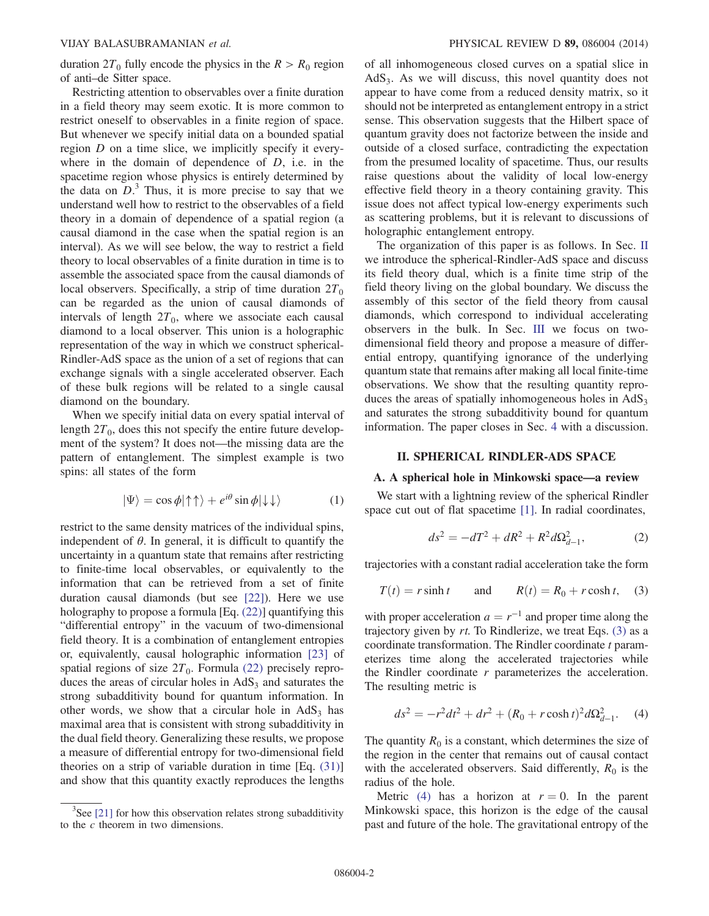duration  $2T_0$  fully encode the physics in the  $R > R_0$  region of anti–de Sitter space.

Restricting attention to observables over a finite duration in a field theory may seem exotic. It is more common to restrict oneself to observables in a finite region of space. But whenever we specify initial data on a bounded spatial region D on a time slice, we implicitly specify it everywhere in the domain of dependence of  $D$ , i.e. in the spacetime region whose physics is entirely determined by the data on  $D<sup>3</sup>$ . Thus, it is more precise to say that we understand well how to restrict to the observables of a field theory in a domain of dependence of a spatial region (a causal diamond in the case when the spatial region is an interval). As we will see below, the way to restrict a field theory to local observables of a finite duration in time is to assemble the associated space from the causal diamonds of local observers. Specifically, a strip of time duration  $2T_0$ can be regarded as the union of causal diamonds of intervals of length  $2T_0$ , where we associate each causal diamond to a local observer. This union is a holographic representation of the way in which we construct spherical-Rindler-AdS space as the union of a set of regions that can exchange signals with a single accelerated observer. Each of these bulk regions will be related to a single causal diamond on the boundary.

When we specify initial data on every spatial interval of length  $2T_0$ , does this not specify the entire future development of the system? It does not—the missing data are the pattern of entanglement. The simplest example is two spins: all states of the form

$$
|\Psi\rangle = \cos\phi|\!\uparrow\uparrow\rangle + e^{i\theta}\sin\phi|\!\downarrow\downarrow\rangle \tag{1}
$$

restrict to the same density matrices of the individual spins, independent of  $\theta$ . In general, it is difficult to quantify the uncertainty in a quantum state that remains after restricting to finite-time local observables, or equivalently to the information that can be retrieved from a set of finite duration causal diamonds (but see [\[22\]](#page-13-8)). Here we use holography to propose a formula [Eq. [\(22\)](#page-5-0)] quantifying this "differential entropy" in the vacuum of two-dimensional field theory. It is a combination of entanglement entropies or, equivalently, causal holographic information [\[23\]](#page-13-9) of spatial regions of size  $2T_0$ . Formula [\(22\)](#page-5-0) precisely reproduces the areas of circular holes in  $AdS<sub>3</sub>$  and saturates the strong subadditivity bound for quantum information. In other words, we show that a circular hole in  $AdS<sub>3</sub>$  has maximal area that is consistent with strong subadditivity in the dual field theory. Generalizing these results, we propose a measure of differential entropy for two-dimensional field theories on a strip of variable duration in time [Eq. [\(31\)\]](#page-7-0) and show that this quantity exactly reproduces the lengths of all inhomogeneous closed curves on a spatial slice in AdS<sub>3</sub>. As we will discuss, this novel quantity does not appear to have come from a reduced density matrix, so it should not be interpreted as entanglement entropy in a strict sense. This observation suggests that the Hilbert space of quantum gravity does not factorize between the inside and outside of a closed surface, contradicting the expectation from the presumed locality of spacetime. Thus, our results raise questions about the validity of local low-energy effective field theory in a theory containing gravity. This issue does not affect typical low-energy experiments such as scattering problems, but it is relevant to discussions of holographic entanglement entropy.

The organization of this paper is as follows. In Sec. [II](#page-2-0) we introduce the spherical-Rindler-AdS space and discuss its field theory dual, which is a finite time strip of the field theory living on the global boundary. We discuss the assembly of this sector of the field theory from causal diamonds, which correspond to individual accelerating observers in the bulk. In Sec. [III](#page-5-1) we focus on twodimensional field theory and propose a measure of differential entropy, quantifying ignorance of the underlying quantum state that remains after making all local finite-time observations. We show that the resulting quantity reproduces the areas of spatially inhomogeneous holes in  $AdS<sub>3</sub>$ and saturates the strong subadditivity bound for quantum information. The paper closes in Sec. [4](#page-9-0) with a discussion.

#### II. SPHERICAL RINDLER-ADS SPACE

#### <span id="page-2-0"></span>A. A spherical hole in Minkowski space*—*a review

We start with a lightning review of the spherical Rindler space cut out of flat spacetime [\[1\]](#page-13-0). In radial coordinates,

$$
ds^2 = -dT^2 + dR^2 + R^2 d\Omega_{d-1}^2,\tag{2}
$$

<span id="page-2-1"></span>trajectories with a constant radial acceleration take the form

$$
T(t) = r \sinh t \qquad \text{and} \qquad R(t) = R_0 + r \cosh t, \quad (3)
$$

with proper acceleration  $a = r^{-1}$  and proper time along the trajectory given by  $rt$ . To Rindlerize, we treat Eqs.  $(3)$  as a coordinate transformation. The Rindler coordinate  $t$  parameterizes time along the accelerated trajectories while the Rindler coordinate  $r$  parameterizes the acceleration. The resulting metric is

<span id="page-2-2"></span>
$$
ds^{2} = -r^{2}dt^{2} + dr^{2} + (R_{0} + r \cosh t)^{2}d\Omega_{d-1}^{2}.
$$
 (4)

The quantity  $R_0$  is a constant, which determines the size of the region in the center that remains out of causal contact with the accelerated observers. Said differently,  $R_0$  is the radius of the hole.

Metric [\(4\)](#page-2-2) has a horizon at  $r = 0$ . In the parent Minkowski space, this horizon is the edge of the causal past and future of the hole. The gravitational entropy of the

 $3$ See [\[21\]](#page-13-10) for how this observation relates strong subadditivity to the  $c$  theorem in two dimensions.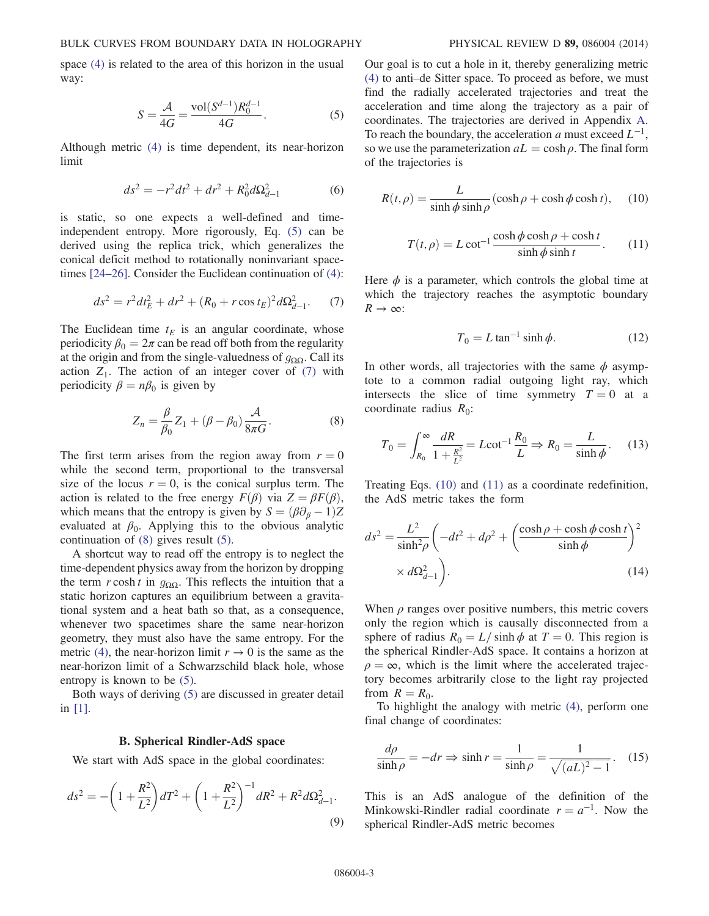<span id="page-3-0"></span>space [\(4\)](#page-2-2) is related to the area of this horizon in the usual way:

$$
S = \frac{A}{4G} = \frac{\text{vol}(S^{d-1})R_0^{d-1}}{4G}.
$$
 (5)

Although metric [\(4\)](#page-2-2) is time dependent, its near-horizon limit

$$
ds^2 = -r^2dt^2 + dr^2 + R_0^2d\Omega_{d-1}^2
$$
 (6)

<span id="page-3-1"></span>is static, so one expects a well-defined and timeindependent entropy. More rigorously, Eq. [\(5\)](#page-3-0) can be derived using the replica trick, which generalizes the conical deficit method to rotationally noninvariant spacetimes [\[24](#page-13-11)–26]. Consider the Euclidean continuation of [\(4\)](#page-2-2):

$$
ds^{2} = r^{2}dt_{E}^{2} + dr^{2} + (R_{0} + r \cos t_{E})^{2}d\Omega_{d-1}^{2}.
$$
 (7)

<span id="page-3-2"></span>The Euclidean time  $t_E$  is an angular coordinate, whose periodicity  $\beta_0 = 2\pi$  can be read off both from the regularity at the origin and from the single-valuedness of  $g_{\Omega\Omega}$ . Call its action  $Z_1$ . The action of an integer cover of [\(7\)](#page-3-1) with periodicity  $\beta = n\beta_0$  is given by

$$
Z_n = \frac{\beta}{\beta_0} Z_1 + (\beta - \beta_0) \frac{\mathcal{A}}{8\pi G}.
$$
 (8)

The first term arises from the region away from  $r = 0$ while the second term, proportional to the transversal size of the locus  $r = 0$ , is the conical surplus term. The action is related to the free energy  $F(\beta)$  via  $Z = \beta F(\beta)$ , which means that the entropy is given by  $S = (\beta \partial_{\beta} - 1)Z$ evaluated at  $\beta_0$ . Applying this to the obvious analytic continuation of [\(8\)](#page-3-2) gives result [\(5\).](#page-3-0)

A shortcut way to read off the entropy is to neglect the time-dependent physics away from the horizon by dropping the term r cosh t in  $q_{\text{OO}}$ . This reflects the intuition that a static horizon captures an equilibrium between a gravitational system and a heat bath so that, as a consequence, whenever two spacetimes share the same near-horizon geometry, they must also have the same entropy. For the metric [\(4\),](#page-2-2) the near-horizon limit  $r \to 0$  is the same as the near-horizon limit of a Schwarzschild black hole, whose entropy is known to be [\(5\)](#page-3-0).

Both ways of deriving [\(5\)](#page-3-0) are discussed in greater detail in [\[1\].](#page-13-0)

#### B. Spherical Rindler-AdS space

<span id="page-3-7"></span>We start with AdS space in the global coordinates:

$$
ds^{2} = -\left(1 + \frac{R^{2}}{L^{2}}\right)dT^{2} + \left(1 + \frac{R^{2}}{L^{2}}\right)^{-1}dR^{2} + R^{2}d\Omega_{d-1}^{2}.
$$
\n(9)

Our goal is to cut a hole in it, thereby generalizing metric [\(4\)](#page-2-2) to anti–de Sitter space. To proceed as before, we must find the radially accelerated trajectories and treat the acceleration and time along the trajectory as a pair of coordinates. The trajectories are derived in Appendix [A](#page-11-0). To reach the boundary, the acceleration a must exceed  $L^{-1}$ , so we use the parameterization  $aL = \cosh \rho$ . The final form of the trajectories is

<span id="page-3-4"></span><span id="page-3-3"></span>
$$
R(t,\rho) = \frac{L}{\sinh \phi \sinh \rho} (\cosh \rho + \cosh \phi \cosh t), \quad (10)
$$

$$
T(t,\rho) = L \cot^{-1} \frac{\cosh \phi \cosh \rho + \cosh t}{\sinh \phi \sinh t}.
$$
 (11)

Here  $\phi$  is a parameter, which controls the global time at which the trajectory reaches the asymptotic boundary  $R \rightarrow \infty$ :

$$
T_0 = L \tan^{-1} \sinh \phi.
$$
 (12)

<span id="page-3-6"></span>In other words, all trajectories with the same  $\phi$  asymptote to a common radial outgoing light ray, which intersects the slice of time symmetry  $T = 0$  at a coordinate radius  $R_0$ :

$$
T_0 = \int_{R_0}^{\infty} \frac{dR}{1 + \frac{R^2}{L^2}} = L \cot^{-1} \frac{R_0}{L} \Rightarrow R_0 = \frac{L}{\sinh \phi}.
$$
 (13)

Treating Eqs. [\(10\)](#page-3-3) and [\(11\)](#page-3-4) as a coordinate redefinition, the AdS metric takes the form

$$
ds^{2} = \frac{L^{2}}{\sinh^{2}\rho} \left( -dt^{2} + d\rho^{2} + \left( \frac{\cosh\rho + \cosh\phi\cosh t}{\sinh\phi} \right)^{2} \times d\Omega_{d-1}^{2} \right).
$$
\n(14)

When  $\rho$  ranges over positive numbers, this metric covers only the region which is causally disconnected from a sphere of radius  $R_0 = L/\sinh \phi$  at  $T = 0$ . This region is the spherical Rindler-AdS space. It contains a horizon at  $\rho = \infty$ , which is the limit where the accelerated trajectory becomes arbitrarily close to the light ray projected from  $R = R_0$ .

To highlight the analogy with metric [\(4\),](#page-2-2) perform one final change of coordinates:

$$
\frac{d\rho}{\sinh \rho} = -dr \Rightarrow \sinh r = \frac{1}{\sinh \rho} = \frac{1}{\sqrt{(aL)^2 - 1}}.\tag{15}
$$

<span id="page-3-5"></span>This is an AdS analogue of the definition of the Minkowski-Rindler radial coordinate  $r = a^{-1}$ . Now the spherical Rindler-AdS metric becomes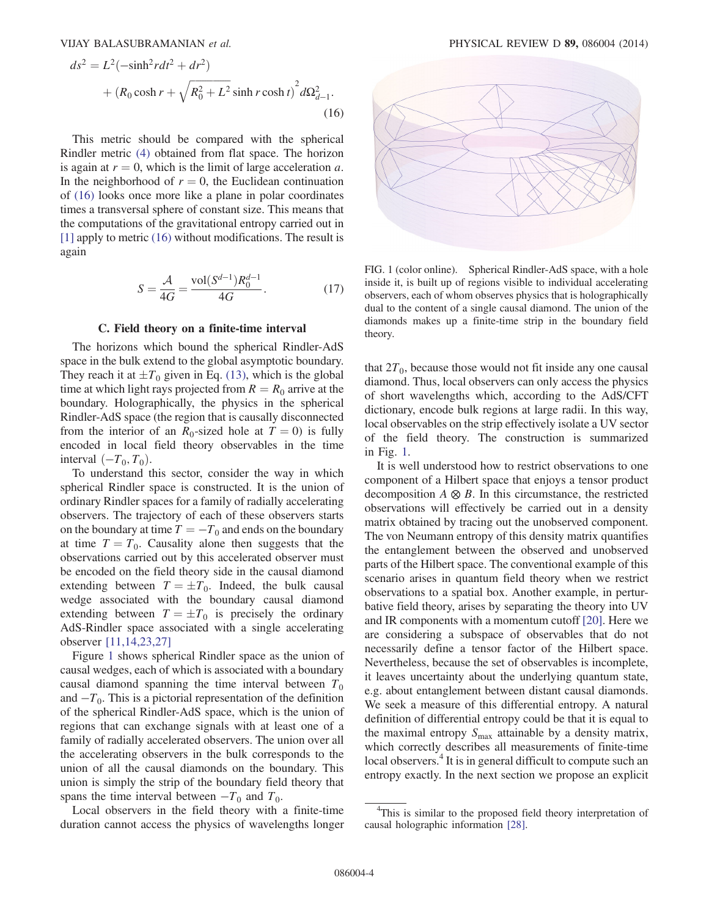$$
ds^{2} = L^{2}(-\sinh^{2} r dt^{2} + dr^{2})
$$
  
+  $(R_{0} \cosh r + \sqrt{R_{0}^{2} + L^{2}} \sinh r \cosh t)^{2} d\Omega_{d-1}^{2}$ . (16)

This metric should be compared with the spherical Rindler metric [\(4\)](#page-2-2) obtained from flat space. The horizon is again at  $r = 0$ , which is the limit of large acceleration a. In the neighborhood of  $r = 0$ , the Euclidean continuation of [\(16\)](#page-3-5) looks once more like a plane in polar coordinates times a transversal sphere of constant size. This means that the computations of the gravitational entropy carried out in [\[1\]](#page-13-0) apply to metric [\(16\)](#page-3-5) without modifications. The result is again

$$
S = \frac{\mathcal{A}}{4G} = \frac{\text{vol}(S^{d-1})R_0^{d-1}}{4G}.
$$
 (17)

#### C. Field theory on a finite-time interval

<span id="page-4-1"></span>The horizons which bound the spherical Rindler-AdS space in the bulk extend to the global asymptotic boundary. They reach it at  $\pm T_0$  given in Eq. [\(13\)](#page-3-6), which is the global time at which light rays projected from  $R = R_0$  arrive at the boundary. Holographically, the physics in the spherical Rindler-AdS space (the region that is causally disconnected from the interior of an  $R_0$ -sized hole at  $T = 0$ ) is fully encoded in local field theory observables in the time interval  $(-T_0, T_0)$ .

To understand this sector, consider the way in which spherical Rindler space is constructed. It is the union of ordinary Rindler spaces for a family of radially accelerating observers. The trajectory of each of these observers starts on the boundary at time  $T = -T_0$  and ends on the boundary at time  $T = T_0$ . Causality alone then suggests that the observations carried out by this accelerated observer must be encoded on the field theory side in the causal diamond extending between  $T = \pm T_0$ . Indeed, the bulk causal wedge associated with the boundary causal diamond extending between  $T = \pm T_0$  is precisely the ordinary AdS-Rindler space associated with a single accelerating observer [\[11,14,23,27\]](#page-13-12)

Figure [1](#page-4-0) shows spherical Rindler space as the union of causal wedges, each of which is associated with a boundary causal diamond spanning the time interval between  $T_0$ and  $-T_0$ . This is a pictorial representation of the definition of the spherical Rindler-AdS space, which is the union of regions that can exchange signals with at least one of a family of radially accelerated observers. The union over all the accelerating observers in the bulk corresponds to the union of all the causal diamonds on the boundary. This union is simply the strip of the boundary field theory that spans the time interval between  $-T_0$  and  $T_0$ .

Local observers in the field theory with a finite-time duration cannot access the physics of wavelengths longer

<span id="page-4-0"></span>

FIG. 1 (color online). Spherical Rindler-AdS space, with a hole inside it, is built up of regions visible to individual accelerating observers, each of whom observes physics that is holographically dual to the content of a single causal diamond. The union of the diamonds makes up a finite-time strip in the boundary field theory.

that  $2T_0$ , because those would not fit inside any one causal diamond. Thus, local observers can only access the physics of short wavelengths which, according to the AdS/CFT dictionary, encode bulk regions at large radii. In this way, local observables on the strip effectively isolate a UV sector of the field theory. The construction is summarized in Fig. [1](#page-4-0).

It is well understood how to restrict observations to one component of a Hilbert space that enjoys a tensor product decomposition  $A \otimes B$ . In this circumstance, the restricted observations will effectively be carried out in a density matrix obtained by tracing out the unobserved component. The von Neumann entropy of this density matrix quantifies the entanglement between the observed and unobserved parts of the Hilbert space. The conventional example of this scenario arises in quantum field theory when we restrict observations to a spatial box. Another example, in perturbative field theory, arises by separating the theory into UV and IR components with a momentum cutoff [\[20\]](#page-13-4). Here we are considering a subspace of observables that do not necessarily define a tensor factor of the Hilbert space. Nevertheless, because the set of observables is incomplete, it leaves uncertainty about the underlying quantum state, e.g. about entanglement between distant causal diamonds. We seek a measure of this differential entropy. A natural definition of differential entropy could be that it is equal to the maximal entropy  $S_{\text{max}}$  attainable by a density matrix, which correctly describes all measurements of finite-time local observers.<sup>4</sup> It is in general difficult to compute such an entropy exactly. In the next section we propose an explicit

<sup>&</sup>lt;sup>4</sup>This is similar to the proposed field theory interpretation of causal holographic information [\[28\].](#page-13-13)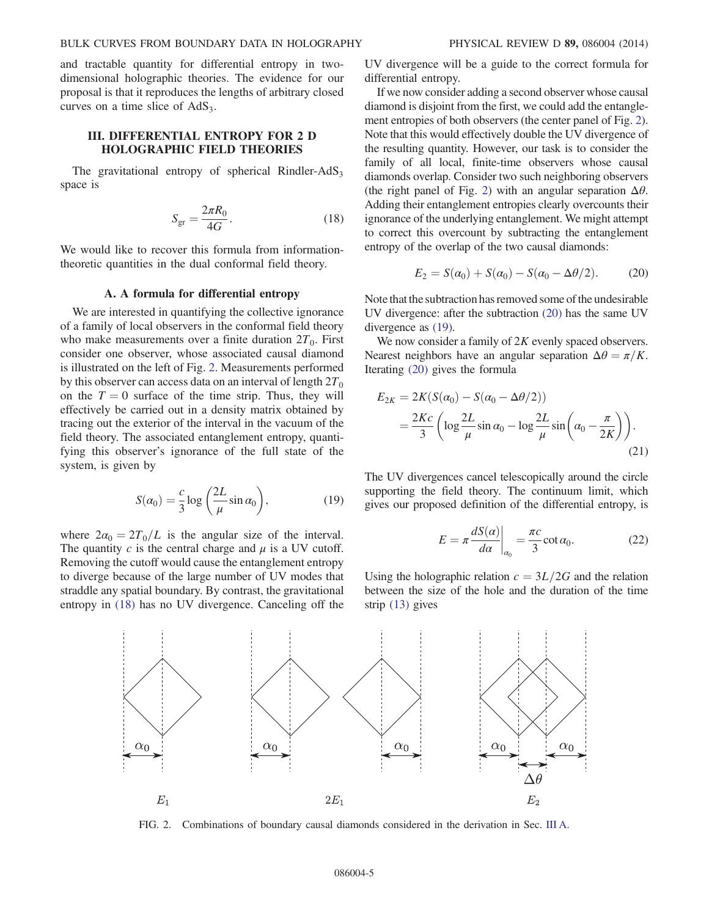and tractable quantity for differential entropy in twodimensional holographic theories. The evidence for our proposal is that it reproduces the lengths of arbitrary closed curves on a time slice of  $AdS<sub>3</sub>$ .

## <span id="page-5-1"></span>III. DIFFERENTIAL ENTROPY FOR 2 D HOLOGRAPHIC FIELD THEORIES

<span id="page-5-3"></span>The gravitational entropy of spherical Rindler-AdS<sub>3</sub> space is

$$
S_{\rm gr} = \frac{2\pi R_0}{4G}.\tag{18}
$$

We would like to recover this formula from informationtheoretic quantities in the dual conformal field theory.

#### A. A formula for differential entropy

<span id="page-5-6"></span>We are interested in quantifying the collective ignorance of a family of local observers in the conformal field theory who make measurements over a finite duration  $2T_0$ . First consider one observer, whose associated causal diamond is illustrated on the left of Fig. [2.](#page-5-2) Measurements performed by this observer can access data on an interval of length  $2T_0$ on the  $T = 0$  surface of the time strip. Thus, they will effectively be carried out in a density matrix obtained by tracing out the exterior of the interval in the vacuum of the field theory. The associated entanglement entropy, quantifying this observer's ignorance of the full state of the system, is given by

$$
S(\alpha_0) = \frac{c}{3} \log \left( \frac{2L}{\mu} \sin \alpha_0 \right),\tag{19}
$$

<span id="page-5-5"></span>where  $2\alpha_0 = 2T_0/L$  is the angular size of the interval. The quantity  $c$  is the central charge and  $\mu$  is a UV cutoff. Removing the cutoff would cause the entanglement entropy to diverge because of the large number of UV modes that straddle any spatial boundary. By contrast, the gravitational entropy in [\(18\)](#page-5-3) has no UV divergence. Canceling off the UV divergence will be a guide to the correct formula for differential entropy.

If we now consider adding a second observer whose causal diamond is disjoint from the first, we could add the entanglement entropies of both observers (the center panel of Fig. [2](#page-5-2)). Note that this would effectively double the UV divergence of the resulting quantity. However, our task is to consider the family of all local, finite-time observers whose causal diamonds overlap. Consider two such neighboring observers (the right panel of Fig. [2\)](#page-5-2) with an angular separation  $\Delta\theta$ . Adding their entanglement entropies clearly overcounts their ignorance of the underlying entanglement. We might attempt to correct this overcount by subtracting the entanglement entropy of the overlap of the two causal diamonds:

<span id="page-5-4"></span>
$$
E_2 = S(\alpha_0) + S(\alpha_0) - S(\alpha_0 - \Delta\theta/2). \tag{20}
$$

Note that the subtraction has removed some of the undesirable UV divergence: after the subtraction [\(20\)](#page-5-4) has the same UV divergence as [\(19\).](#page-5-5)

<span id="page-5-7"></span>We now consider a family of  $2K$  evenly spaced observers. Nearest neighbors have an angular separation  $\Delta \theta = \pi/K$ . Iterating [\(20\)](#page-5-4) gives the formula

$$
E_{2K} = 2K(S(\alpha_0) - S(\alpha_0 - \Delta\theta/2))
$$
  
= 
$$
\frac{2Kc}{3} \left( \log \frac{2L}{\mu} \sin \alpha_0 - \log \frac{2L}{\mu} \sin \left( \alpha_0 - \frac{\pi}{2K} \right) \right).
$$
 (21)

<span id="page-5-0"></span>The UV divergences cancel telescopically around the circle supporting the field theory. The continuum limit, which gives our proposed definition of the differential entropy, is

$$
E = \pi \frac{dS(\alpha)}{d\alpha}\bigg|_{\alpha_0} = \frac{\pi c}{3} \cot \alpha_0.
$$
 (22)

Using the holographic relation  $c = 3L/2G$  and the relation between the size of the hole and the duration of the time strip [\(13\)](#page-3-6) gives

<span id="page-5-2"></span>

FIG. 2. Combinations of boundary causal diamonds considered in the derivation in Sec. [III A.](#page-5-6)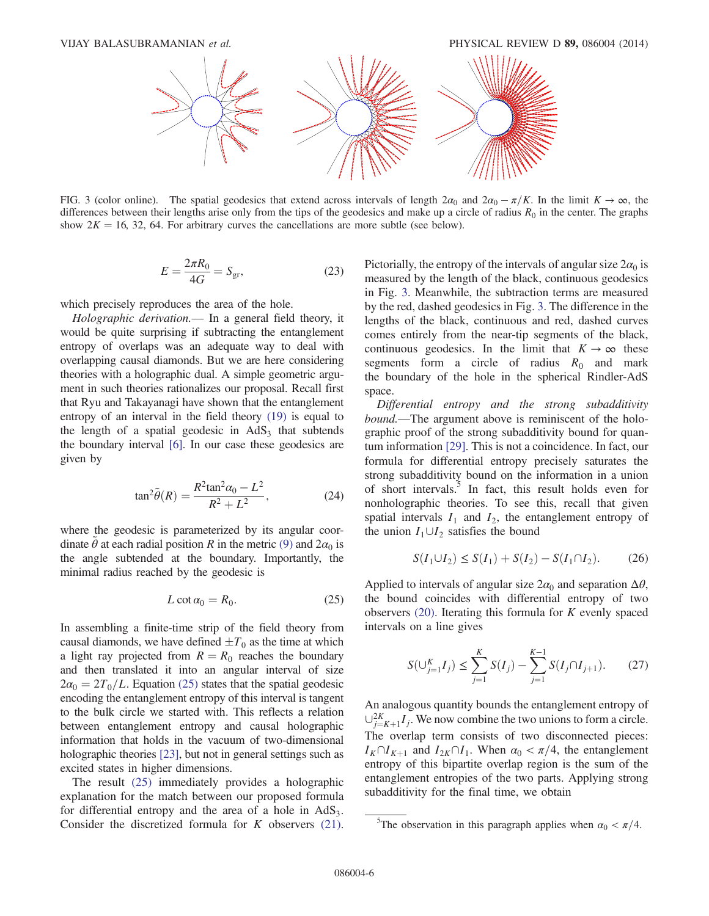<span id="page-6-1"></span>

FIG. 3 (color online). The spatial geodesics that extend across intervals of length  $2\alpha_0$  and  $2\alpha_0 - \pi/K$ . In the limit  $K \to \infty$ , the differences between their lengths arise only from the tips of the geodesics and make up a circle of radius  $R_0$  in the center. The graphs show  $2K = 16, 32, 64$ . For arbitrary curves the cancellations are more subtle (see below).

$$
E = \frac{2\pi R_0}{4G} = S_{\rm gr},\tag{23}
$$

which precisely reproduces the area of the hole.

Holographic derivation.— In a general field theory, it would be quite surprising if subtracting the entanglement entropy of overlaps was an adequate way to deal with overlapping causal diamonds. But we are here considering theories with a holographic dual. A simple geometric argument in such theories rationalizes our proposal. Recall first that Ryu and Takayanagi have shown that the entanglement entropy of an interval in the field theory [\(19\)](#page-5-5) is equal to the length of a spatial geodesic in  $AdS<sub>3</sub>$  that subtends the boundary interval [\[6\].](#page-13-2) In our case these geodesics are given by

$$
\tan^2 \tilde{\theta}(R) = \frac{R^2 \tan^2 \alpha_0 - L^2}{R^2 + L^2},
$$
 (24)

<span id="page-6-3"></span><span id="page-6-0"></span>where the geodesic is parameterized by its angular coordinate  $\tilde{\theta}$  at each radial position R in the metric [\(9\)](#page-3-7) and  $2\alpha_0$  is the angle subtended at the boundary. Importantly, the minimal radius reached by the geodesic is

$$
L \cot \alpha_0 = R_0. \tag{25}
$$

In assembling a finite-time strip of the field theory from causal diamonds, we have defined  $\pm T_0$  as the time at which a light ray projected from  $R = R_0$  reaches the boundary and then translated it into an angular interval of size  $2\alpha_0 = 2T_0/L$ . Equation [\(25\)](#page-6-0) states that the spatial geodesic encoding the entanglement entropy of this interval is tangent to the bulk circle we started with. This reflects a relation between entanglement entropy and causal holographic information that holds in the vacuum of two-dimensional holographic theories [\[23\],](#page-13-9) but not in general settings such as excited states in higher dimensions.

The result [\(25\)](#page-6-0) immediately provides a holographic explanation for the match between our proposed formula for differential entropy and the area of a hole in  $AdS_3$ . Consider the discretized formula for  $K$  observers [\(21\)](#page-5-7). Pictorially, the entropy of the intervals of angular size  $2\alpha_0$  is measured by the length of the black, continuous geodesics in Fig. [3](#page-6-1). Meanwhile, the subtraction terms are measured by the red, dashed geodesics in Fig. [3.](#page-6-1) The difference in the lengths of the black, continuous and red, dashed curves comes entirely from the near-tip segments of the black, continuous geodesics. In the limit that  $K \to \infty$  these segments form a circle of radius  $R_0$  and mark the boundary of the hole in the spherical Rindler-AdS space.

Differential entropy and the strong subadditivity bound.—The argument above is reminiscent of the holographic proof of the strong subadditivity bound for quantum information [\[29\]](#page-13-14). This is not a coincidence. In fact, our formula for differential entropy precisely saturates the strong subadditivity bound on the information in a union of short intervals.<sup>5</sup> In fact, this result holds even for nonholographic theories. To see this, recall that given spatial intervals  $I_1$  and  $I_2$ , the entanglement entropy of the union  $I_1 \cup I_2$  satisfies the bound

$$
S(I_1 \cup I_2) \le S(I_1) + S(I_2) - S(I_1 \cap I_2). \tag{26}
$$

Applied to intervals of angular size  $2\alpha_0$  and separation  $\Delta\theta$ , the bound coincides with differential entropy of two observers [\(20\)](#page-5-4). Iterating this formula for K evenly spaced intervals on a line gives

$$
S(\bigcup_{j=1}^{K} I_j) \le \sum_{j=1}^{K} S(I_j) - \sum_{j=1}^{K-1} S(I_j \cap I_{j+1}).
$$
 (27)

An analogous quantity bounds the entanglement entropy of  $\cup_{j=K+1}^{2K} I_j$ . We now combine the two unions to form a circle. The overlap term consists of two disconnected pieces:  $I_K \cap I_{K+1}$  and  $I_{2K} \cap I_1$ . When  $\alpha_0 < \pi/4$ , the entanglement entropy of this bipartite overlap region is the sum of the entanglement entropies of the two parts. Applying strong subadditivity for the final time, we obtain

<span id="page-6-2"></span><sup>&</sup>lt;sup>5</sup>The observation in this paragraph applies when  $\alpha_0 < \pi/4$ .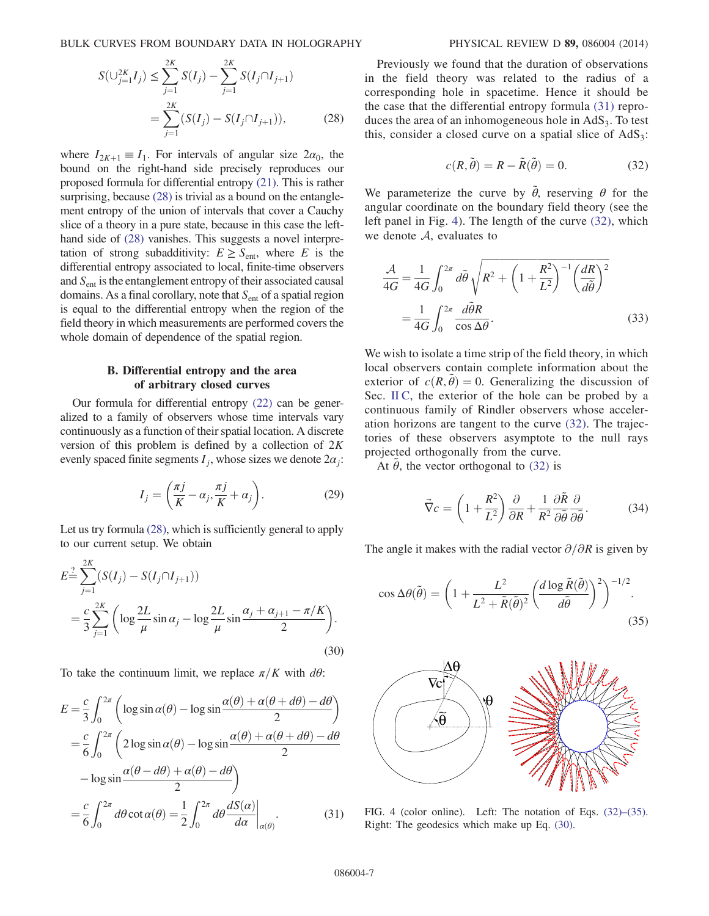BULK CURVES FROM BOUNDARY DATA IN HOLOGRAPHY PHYSICAL REVIEW D 89, 086004 (2014)

$$
S(\bigcup_{j=1}^{2K} I_j) \le \sum_{j=1}^{2K} S(I_j) - \sum_{j=1}^{2K} S(I_j \cap I_{j+1})
$$
  
= 
$$
\sum_{j=1}^{2K} (S(I_j) - S(I_j \cap I_{j+1})),
$$
 (28)

where  $I_{2K+1} \equiv I_1$ . For intervals of angular size  $2\alpha_0$ , the bound on the right-hand side precisely reproduces our proposed formula for differential entropy [\(21\)](#page-5-7). This is rather surprising, because [\(28\)](#page-6-2) is trivial as a bound on the entanglement entropy of the union of intervals that cover a Cauchy slice of a theory in a pure state, because in this case the lefthand side of [\(28\)](#page-6-2) vanishes. This suggests a novel interpretation of strong subadditivity:  $E \geq S_{\text{ent}}$ , where E is the differential entropy associated to local, finite-time observers and  $S<sub>ent</sub>$  is the entanglement entropy of their associated causal domains. As a final corollary, note that  $S<sub>ent</sub>$  of a spatial region is equal to the differential entropy when the region of the field theory in which measurements are performed covers the whole domain of dependence of the spatial region.

### B. Differential entropy and the area of arbitrary closed curves

Our formula for differential entropy [\(22\)](#page-5-0) can be generalized to a family of observers whose time intervals vary continuously as a function of their spatial location. A discrete version of this problem is defined by a collection of  $2K$ evenly spaced finite segments  $I_i$ , whose sizes we denote  $2\alpha_i$ :

$$
I_j = \left(\frac{\pi j}{K} - \alpha_j, \frac{\pi j}{K} + \alpha_j\right). \tag{29}
$$

<span id="page-7-3"></span>Let us try formula [\(28\),](#page-6-2) which is sufficiently general to apply to our current setup. We obtain

$$
E = \sum_{j=1}^{2K} (S(I_j) - S(I_j \cap I_{j+1}))
$$
  
=  $\frac{c}{3} \sum_{j=1}^{2K} \left( \log \frac{2L}{\mu} \sin \alpha_j - \log \frac{2L}{\mu} \sin \frac{\alpha_j + \alpha_{j+1} - \pi/K}{2} \right).$  (30)

<span id="page-7-0"></span>To take the continuum limit, we replace  $\pi/K$  with  $d\theta$ :

$$
E = \frac{c}{3} \int_0^{2\pi} \left( \log \sin \alpha(\theta) - \log \sin \frac{\alpha(\theta) + \alpha(\theta + d\theta) - d\theta}{2} \right)
$$
  
=  $\frac{c}{6} \int_0^{2\pi} \left( 2 \log \sin \alpha(\theta) - \log \sin \frac{\alpha(\theta) + \alpha(\theta + d\theta) - d\theta}{2} \right)$   
-  $\log \sin \frac{\alpha(\theta - d\theta) + \alpha(\theta) - d\theta}{2}$   
=  $\frac{c}{6} \int_0^{2\pi} d\theta \cot \alpha(\theta) = \frac{1}{2} \int_0^{2\pi} d\theta \frac{dS(\alpha)}{d\alpha} \Big|_{\alpha(\theta)}.$  (31)

<span id="page-7-2"></span>Previously we found that the duration of observations in the field theory was related to the radius of a corresponding hole in spacetime. Hence it should be the case that the differential entropy formula [\(31\)](#page-7-0) reproduces the area of an inhomogeneous hole in  $AdS<sub>3</sub>$ . To test this, consider a closed curve on a spatial slice of  $AdS_3$ :

$$
c(R, \tilde{\theta}) = R - \tilde{R}(\tilde{\theta}) = 0.
$$
 (32)

<span id="page-7-4"></span>We parameterize the curve by  $\tilde{\theta}$ , reserving  $\theta$  for the angular coordinate on the boundary field theory (see the left panel in Fig. [4\)](#page-7-1). The length of the curve [\(32\)](#page-7-2), which we denote  $A$ , evaluates to

$$
\frac{\mathcal{A}}{4G} = \frac{1}{4G} \int_0^{2\pi} d\tilde{\theta} \sqrt{R^2 + \left(1 + \frac{R^2}{L^2}\right)^{-1} \left(\frac{dR}{d\tilde{\theta}}\right)^2}
$$
\n
$$
= \frac{1}{4G} \int_0^{2\pi} \frac{d\tilde{\theta}R}{\cos \Delta \theta}.
$$
\n(33)

We wish to isolate a time strip of the field theory, in which local observers contain complete information about the exterior of  $c(R, \tilde{\theta}) = 0$ . Generalizing the discussion of Sec. [II C](#page-4-1), the exterior of the hole can be probed by a continuous family of Rindler observers whose acceleration horizons are tangent to the curve [\(32\)](#page-7-2). The trajectories of these observers asymptote to the null rays projected orthogonally from the curve.

At  $\tilde{\theta}$ , the vector orthogonal to [\(32\)](#page-7-2) is

$$
\vec{\nabla}c = \left(1 + \frac{R^2}{L^2}\right)\frac{\partial}{\partial R} + \frac{1}{R^2}\frac{\partial \tilde{R}}{\partial \tilde{\theta}}\frac{\partial}{\partial \tilde{\theta}}.\tag{34}
$$

The angle it makes with the radial vector  $\partial/\partial R$  is given by

$$
\cos \Delta\theta(\tilde{\theta}) = \left(1 + \frac{L^2}{L^2 + \tilde{R}(\tilde{\theta})^2} \left(\frac{d \log \tilde{R}(\tilde{\theta})}{d\tilde{\theta}}\right)^2\right)^{-1/2}.
$$
\n(35)

<span id="page-7-1"></span>

FIG. 4 (color online). Left: The notation of Eqs. (32)–[\(35\).](#page-7-2) Right: The geodesics which make up Eq. [\(30\).](#page-7-3)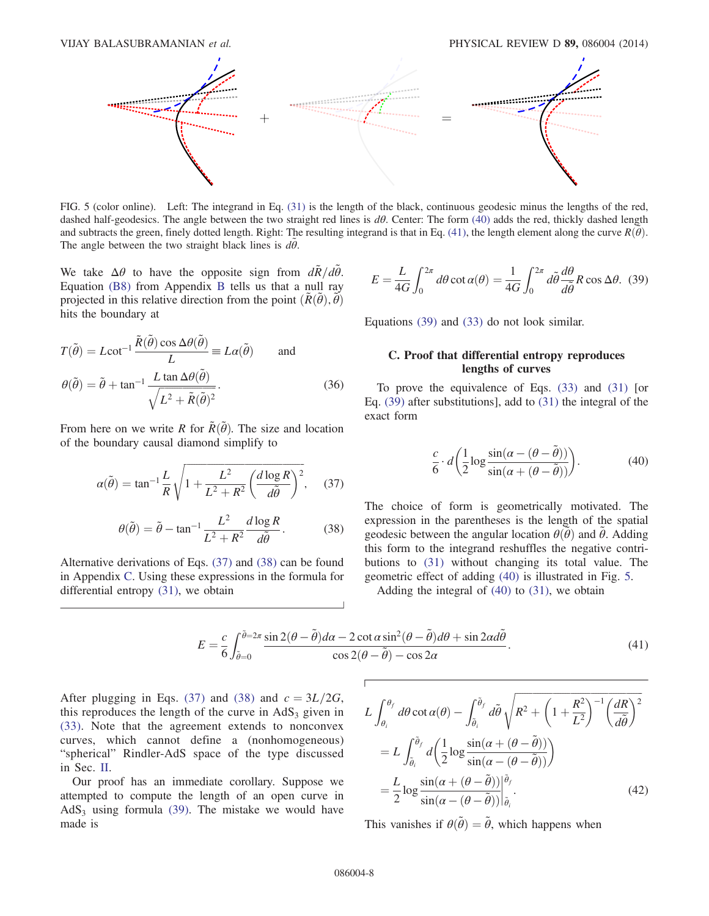<span id="page-8-4"></span>

FIG. 5 (color online). Left: The integrand in Eq. [\(31\)](#page-7-0) is the length of the black, continuous geodesic minus the lengths of the red, dashed half-geodesics. The angle between the two straight red lines is  $d\theta$ . Center: The form [\(40\)](#page-8-3) adds the red, thickly dashed length and subtracts the green, finely dotted length. Right: The resulting integrand is that in Eq. [\(41\),](#page-8-5) the length element along the curve  $R(\tilde{\theta})$ . The angle between the two straight black lines is  $d\tilde{\theta}$ .

We take  $\Delta \theta$  to have the opposite sign from  $d\tilde{R}/d\tilde{\theta}$ . Equation [\(B8\)](#page-12-0) from Appendix [B](#page-12-1) tells us that a null ray projected in this relative direction from the point  $(\tilde{R}(\tilde{\theta}), \tilde{\theta})$ hits the boundary at

$$
T(\tilde{\theta}) = L \cot^{-1} \frac{\tilde{R}(\tilde{\theta}) \cos \Delta \theta(\tilde{\theta})}{L} \equiv L\alpha(\tilde{\theta}) \quad \text{and}
$$

$$
\theta(\tilde{\theta}) = \tilde{\theta} + \tan^{-1} \frac{L \tan \Delta \theta(\tilde{\theta})}{\sqrt{L^2 + \tilde{R}(\tilde{\theta})^2}}.
$$
(36)

<span id="page-8-0"></span>From here on we write R for  $\tilde{R}(\tilde{\theta})$ . The size and location of the boundary causal diamond simplify to

<span id="page-8-1"></span>
$$
\alpha(\tilde{\theta}) = \tan^{-1} \frac{L}{R} \sqrt{1 + \frac{L^2}{L^2 + R^2} \left(\frac{d \log R}{d\tilde{\theta}}\right)^2}, \quad (37)
$$

$$
\theta(\tilde{\theta}) = \tilde{\theta} - \tan^{-1} \frac{L^2}{L^2 + R^2} \frac{d \log R}{d\tilde{\theta}}.
$$
 (38)

<span id="page-8-5"></span><span id="page-8-2"></span>Alternative derivations of Eqs. [\(37\)](#page-8-0) and [\(38\)](#page-8-1) can be found in Appendix [C](#page-12-2). Using these expressions in the formula for differential entropy [\(31\),](#page-7-0) we obtain

$$
E = \frac{L}{4G} \int_0^{2\pi} d\theta \cot \alpha(\theta) = \frac{1}{4G} \int_0^{2\pi} d\tilde{\theta} \frac{d\theta}{d\tilde{\theta}} R \cos \Delta \theta. (39)
$$

Equations [\(39\)](#page-8-2) and [\(33\)](#page-7-4) do not look similar.

## C. Proof that differential entropy reproduces lengths of curves

<span id="page-8-3"></span>To prove the equivalence of Eqs. [\(33\)](#page-7-4) and [\(31\)](#page-7-0) [or Eq. [\(39\)](#page-8-2) after substitutions], add to [\(31\)](#page-7-0) the integral of the exact form

$$
\frac{c}{6} \cdot d\left(\frac{1}{2}\log\frac{\sin(\alpha - (\theta - \tilde{\theta}))}{\sin(\alpha + (\theta - \tilde{\theta}))}\right).
$$
 (40)

The choice of form is geometrically motivated. The expression in the parentheses is the length of the spatial geodesic between the angular location  $\theta(\tilde{\theta})$  and  $\tilde{\theta}$ . Adding this form to the integrand reshuffles the negative contributions to [\(31\)](#page-7-0) without changing its total value. The geometric effect of adding [\(40\)](#page-8-3) is illustrated in Fig. [5.](#page-8-4)

Adding the integral of [\(40\)](#page-8-3) to [\(31\)](#page-7-0), we obtain

$$
E = \frac{c}{6} \int_{\tilde{\theta}=0}^{\tilde{\theta}=2\pi} \frac{\sin 2(\theta - \tilde{\theta})d\alpha - 2\cot \alpha \sin^2(\theta - \tilde{\theta})d\theta + \sin 2\alpha d\tilde{\theta}}{\cos 2(\theta - \tilde{\theta}) - \cos 2\alpha}.
$$
\n(41)

After plugging in Eqs. [\(37\)](#page-8-0) and [\(38\)](#page-8-1) and  $c = 3L/2G$ , this reproduces the length of the curve in  $AdS<sub>3</sub>$  given in [\(33\).](#page-7-4) Note that the agreement extends to nonconvex curves, which cannot define a (nonhomogeneous) "spherical" Rindler-AdS space of the type discussed in Sec. [II.](#page-2-0)

Our proof has an immediate corollary. Suppose we attempted to compute the length of an open curve in AdS<sub>3</sub> using formula  $(39)$ . The mistake we would have made is

$$
L \int_{\theta_i}^{\theta_f} d\theta \cot \alpha(\theta) - \int_{\tilde{\theta}_i}^{\tilde{\theta}_f} d\tilde{\theta} \sqrt{R^2 + \left(1 + \frac{R^2}{L^2}\right)^{-1} \left(\frac{dR}{d\tilde{\theta}}\right)^2}
$$
  
\n
$$
= L \int_{\tilde{\theta}_i}^{\tilde{\theta}_f} d\left(\frac{1}{2} \log \frac{\sin(\alpha + (\theta - \tilde{\theta}))}{\sin(\alpha - (\theta - \tilde{\theta}))}\right)
$$
  
\n
$$
= \frac{L}{2} \log \frac{\sin(\alpha + (\theta - \tilde{\theta}))}{\sin(\alpha - (\theta - \tilde{\theta}))} \Big|_{\tilde{\theta}_i}^{\tilde{\theta}_f}.
$$
 (42)

<span id="page-8-6"></span>This vanishes if  $\theta(\tilde{\theta}) = \tilde{\theta}$ , which happens when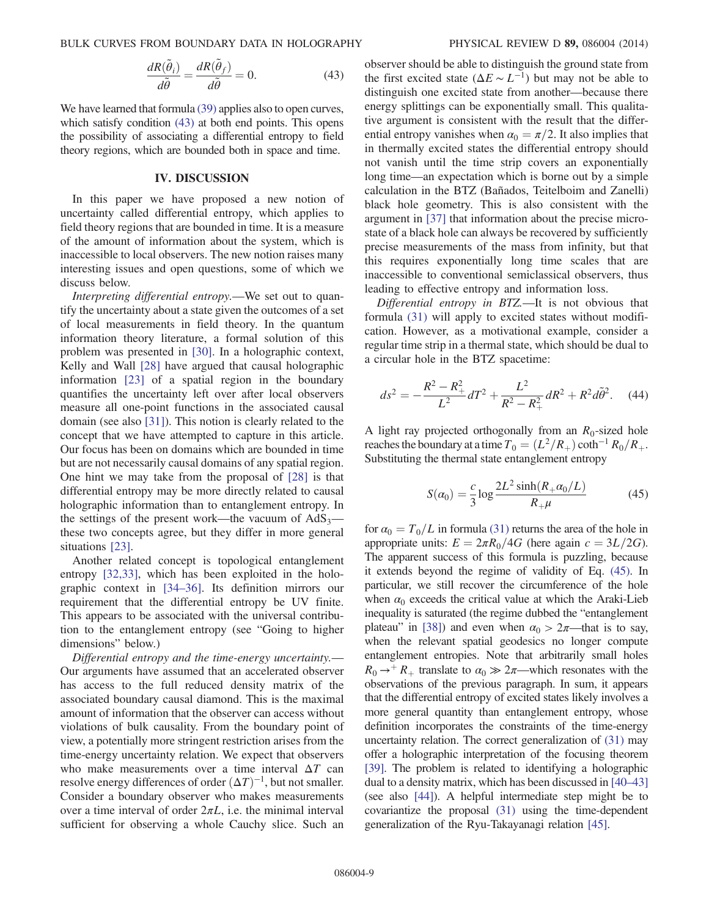BULK CURVES FROM BOUNDARY DATA IN HOLOGRAPHY PHYSICAL REVIEW D 89, 086004 (2014)

$$
\frac{dR(\tilde{\theta}_i)}{d\tilde{\theta}} = \frac{dR(\tilde{\theta}_f)}{d\tilde{\theta}} = 0.
$$
 (43)

We have learned that formula [\(39\)](#page-8-2) applies also to open curves, which satisfy condition  $(43)$  at both end points. This opens the possibility of associating a differential entropy to field theory regions, which are bounded both in space and time.

#### IV. DISCUSSION

<span id="page-9-0"></span>In this paper we have proposed a new notion of uncertainty called differential entropy, which applies to field theory regions that are bounded in time. It is a measure of the amount of information about the system, which is inaccessible to local observers. The new notion raises many interesting issues and open questions, some of which we discuss below.

Interpreting differential entropy.—We set out to quantify the uncertainty about a state given the outcomes of a set of local measurements in field theory. In the quantum information theory literature, a formal solution of this problem was presented in [\[30\]](#page-13-15). In a holographic context, Kelly and Wall [\[28\]](#page-13-13) have argued that causal holographic information [\[23\]](#page-13-9) of a spatial region in the boundary quantifies the uncertainty left over after local observers measure all one-point functions in the associated causal domain (see also [\[31\]](#page-13-16)). This notion is clearly related to the concept that we have attempted to capture in this article. Our focus has been on domains which are bounded in time but are not necessarily causal domains of any spatial region. One hint we may take from the proposal of [\[28\]](#page-13-13) is that differential entropy may be more directly related to causal holographic information than to entanglement entropy. In the settings of the present work—the vacuum of  $AdS_3$  these two concepts agree, but they differ in more general situations [\[23\].](#page-13-9)

Another related concept is topological entanglement entropy [\[32,33\]](#page-13-17), which has been exploited in the holographic context in [34–[36\].](#page-13-18) Its definition mirrors our requirement that the differential entropy be UV finite. This appears to be associated with the universal contribution to the entanglement entropy (see "Going to higher dimensions" below.)

Differential entropy and the time-energy uncertainty.— Our arguments have assumed that an accelerated observer has access to the full reduced density matrix of the associated boundary causal diamond. This is the maximal amount of information that the observer can access without violations of bulk causality. From the boundary point of view, a potentially more stringent restriction arises from the time-energy uncertainty relation. We expect that observers who make measurements over a time interval  $\Delta T$  can resolve energy differences of order  $(\Delta T)^{-1}$ , but not smaller. Consider a boundary observer who makes measurements over a time interval of order  $2\pi L$ , i.e. the minimal interval sufficient for observing a whole Cauchy slice. Such an observer should be able to distinguish the ground state from the first excited state ( $\Delta E \sim L^{-1}$ ) but may not be able to distinguish one excited state from another—because there energy splittings can be exponentially small. This qualitative argument is consistent with the result that the differential entropy vanishes when  $\alpha_0 = \pi/2$ . It also implies that in thermally excited states the differential entropy should not vanish until the time strip covers an exponentially long time—an expectation which is borne out by a simple calculation in the BTZ (Bañados, Teitelboim and Zanelli) black hole geometry. This is also consistent with the argument in [\[37\]](#page-13-19) that information about the precise microstate of a black hole can always be recovered by sufficiently precise measurements of the mass from infinity, but that this requires exponentially long time scales that are inaccessible to conventional semiclassical observers, thus leading to effective entropy and information loss.

Differential entropy in BTZ.—It is not obvious that formula [\(31\)](#page-7-0) will apply to excited states without modification. However, as a motivational example, consider a regular time strip in a thermal state, which should be dual to a circular hole in the BTZ spacetime:

$$
ds^2 = -\frac{R^2 - R_+^2}{L^2}dT^2 + \frac{L^2}{R^2 - R_+^2}dR^2 + R^2d\tilde{\theta}^2.
$$
 (44)

<span id="page-9-1"></span>A light ray projected orthogonally from an  $R_0$ -sized hole reaches the boundary at a time  $T_0 = (L^2/R_+) \coth^{-1} R_0/R_+$ . Substituting the thermal state entanglement entropy

$$
S(\alpha_0) = \frac{c}{3} \log \frac{2L^2 \sinh(R_+ \alpha_0/L)}{R_+ \mu}
$$
 (45)

for  $\alpha_0 = T_0/L$  in formula [\(31\)](#page-7-0) returns the area of the hole in appropriate units:  $E = 2\pi R_0/4G$  (here again  $c = 3L/2G$ ). The apparent success of this formula is puzzling, because it extends beyond the regime of validity of Eq. [\(45\)](#page-9-1). In particular, we still recover the circumference of the hole when  $\alpha_0$  exceeds the critical value at which the Araki-Lieb inequality is saturated (the regime dubbed the "entanglement plateau" in [\[38\]\)](#page-14-0) and even when  $\alpha_0 > 2\pi$ —that is to say, when the relevant spatial geodesics no longer compute entanglement entropies. Note that arbitrarily small holes  $R_0 \rightarrow +R_+$  translate to  $\alpha_0 \gg 2\pi$ —which resonates with the observations of the previous paragraph. In sum, it appears that the differential entropy of excited states likely involves a more general quantity than entanglement entropy, whose definition incorporates the constraints of the time-energy uncertainty relation. The correct generalization of [\(31\)](#page-7-0) may offer a holographic interpretation of the focusing theorem [\[39\].](#page-14-1) The problem is related to identifying a holographic dual to a density matrix, which has been discussed in [40–[43\]](#page-14-2) (see also [\[44\]](#page-14-3)). A helpful intermediate step might be to covariantize the proposal [\(31\)](#page-7-0) using the time-dependent generalization of the Ryu-Takayanagi relation [\[45\]](#page-14-4).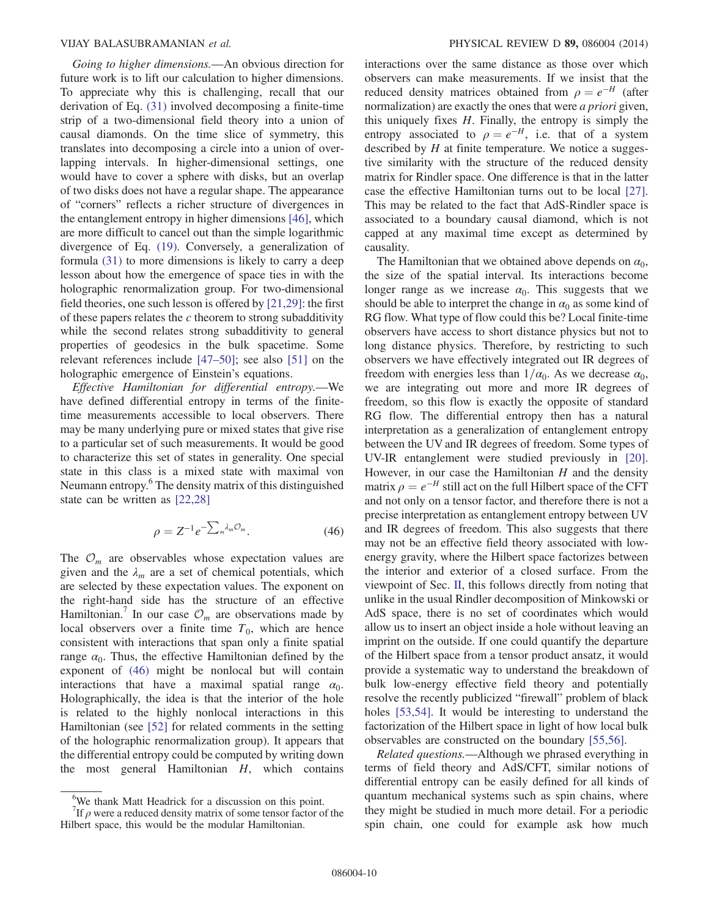Going to higher dimensions.—An obvious direction for future work is to lift our calculation to higher dimensions. To appreciate why this is challenging, recall that our derivation of Eq. [\(31\)](#page-7-0) involved decomposing a finite-time strip of a two-dimensional field theory into a union of causal diamonds. On the time slice of symmetry, this translates into decomposing a circle into a union of overlapping intervals. In higher-dimensional settings, one would have to cover a sphere with disks, but an overlap of two disks does not have a regular shape. The appearance of "corners" reflects a richer structure of divergences in the entanglement entropy in higher dimensions [\[46\],](#page-14-5) which are more difficult to cancel out than the simple logarithmic divergence of Eq. [\(19\).](#page-5-5) Conversely, a generalization of formula [\(31\)](#page-7-0) to more dimensions is likely to carry a deep lesson about how the emergence of space ties in with the holographic renormalization group. For two-dimensional field theories, one such lesson is offered by [\[21,29\]:](#page-13-10) the first of these papers relates the  $c$  theorem to strong subadditivity while the second relates strong subadditivity to general properties of geodesics in the bulk spacetime. Some relevant references include [\[47](#page-14-6)–50]; see also [\[51\]](#page-14-7) on the holographic emergence of Einstein's equations.

Effective Hamiltonian for differential entropy.—We have defined differential entropy in terms of the finitetime measurements accessible to local observers. There may be many underlying pure or mixed states that give rise to a particular set of such measurements. It would be good to characterize this set of states in generality. One special state in this class is a mixed state with maximal von Neumann entropy.6 The density matrix of this distinguished state can be written as [\[22,28\]](#page-13-8)

$$
\rho = Z^{-1} e^{-\sum_{m} \lambda_m \mathcal{O}_m}.
$$
\n(46)

<span id="page-10-0"></span>The  $\mathcal{O}_m$  are observables whose expectation values are given and the  $\lambda_m$  are a set of chemical potentials, which are selected by these expectation values. The exponent on the right-hand side has the structure of an effective Hamiltonian.<sup>7</sup> In our case  $\mathcal{O}_m$  are observations made by local observers over a finite time  $T_0$ , which are hence consistent with interactions that span only a finite spatial range  $\alpha_0$ . Thus, the effective Hamiltonian defined by the exponent of [\(46\)](#page-10-0) might be nonlocal but will contain interactions that have a maximal spatial range  $\alpha_0$ . Holographically, the idea is that the interior of the hole is related to the highly nonlocal interactions in this Hamiltonian (see [\[52\]](#page-14-8) for related comments in the setting of the holographic renormalization group). It appears that the differential entropy could be computed by writing down the most general Hamiltonian  $H$ , which contains interactions over the same distance as those over which observers can make measurements. If we insist that the reduced density matrices obtained from  $\rho = e^{-H}$  (after normalization) are exactly the ones that were *a priori* given, this uniquely fixes  $H$ . Finally, the entropy is simply the entropy associated to  $\rho = e^{-H}$ , i.e. that of a system described by  $H$  at finite temperature. We notice a suggestive similarity with the structure of the reduced density matrix for Rindler space. One difference is that in the latter case the effective Hamiltonian turns out to be local [\[27\]](#page-13-20). This may be related to the fact that AdS-Rindler space is associated to a boundary causal diamond, which is not capped at any maximal time except as determined by causality.

The Hamiltonian that we obtained above depends on  $\alpha_0$ , the size of the spatial interval. Its interactions become longer range as we increase  $\alpha_0$ . This suggests that we should be able to interpret the change in  $\alpha_0$  as some kind of RG flow. What type of flow could this be? Local finite-time observers have access to short distance physics but not to long distance physics. Therefore, by restricting to such observers we have effectively integrated out IR degrees of freedom with energies less than  $1/\alpha_0$ . As we decrease  $\alpha_0$ , we are integrating out more and more IR degrees of freedom, so this flow is exactly the opposite of standard RG flow. The differential entropy then has a natural interpretation as a generalization of entanglement entropy between the UV and IR degrees of freedom. Some types of UV-IR entanglement were studied previously in [\[20\]](#page-13-4). However, in our case the Hamiltonian  $H$  and the density matrix  $\rho = e^{-H}$  still act on the full Hilbert space of the CFT and not only on a tensor factor, and therefore there is not a precise interpretation as entanglement entropy between UV and IR degrees of freedom. This also suggests that there may not be an effective field theory associated with lowenergy gravity, where the Hilbert space factorizes between the interior and exterior of a closed surface. From the viewpoint of Sec. [II,](#page-2-0) this follows directly from noting that unlike in the usual Rindler decomposition of Minkowski or AdS space, there is no set of coordinates which would allow us to insert an object inside a hole without leaving an imprint on the outside. If one could quantify the departure of the Hilbert space from a tensor product ansatz, it would provide a systematic way to understand the breakdown of bulk low-energy effective field theory and potentially resolve the recently publicized "firewall" problem of black holes [\[53,54\]](#page-14-9). It would be interesting to understand the factorization of the Hilbert space in light of how local bulk observables are constructed on the boundary [\[55,56\]](#page-14-10).

Related questions.—Although we phrased everything in terms of field theory and AdS/CFT, similar notions of differential entropy can be easily defined for all kinds of quantum mechanical systems such as spin chains, where they might be studied in much more detail. For a periodic spin chain, one could for example ask how much

 $_{\alpha}^{6}$ We thank Matt Headrick for a discussion on this point.

<sup>&</sup>lt;sup>7</sup>If  $\rho$  were a reduced density matrix of some tensor factor of the Hilbert space, this would be the modular Hamiltonian.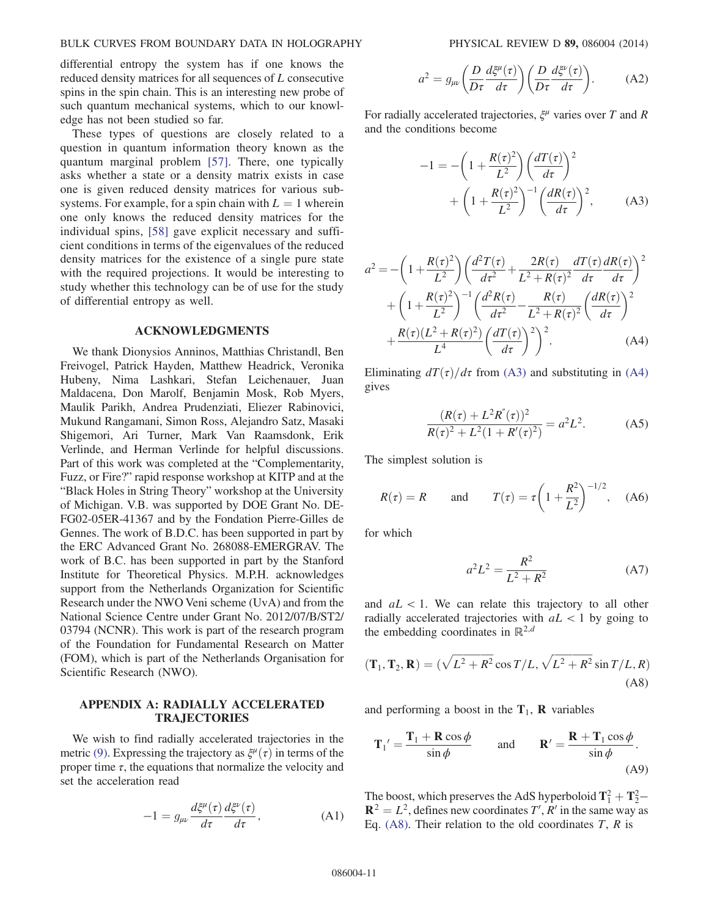differential entropy the system has if one knows the reduced density matrices for all sequences of L consecutive spins in the spin chain. This is an interesting new probe of such quantum mechanical systems, which to our knowledge has not been studied so far.

These types of questions are closely related to a question in quantum information theory known as the quantum marginal problem [\[57\]](#page-14-11). There, one typically asks whether a state or a density matrix exists in case one is given reduced density matrices for various subsystems. For example, for a spin chain with  $L = 1$  wherein one only knows the reduced density matrices for the individual spins, [\[58\]](#page-14-12) gave explicit necessary and sufficient conditions in terms of the eigenvalues of the reduced density matrices for the existence of a single pure state with the required projections. It would be interesting to study whether this technology can be of use for the study of differential entropy as well.

#### ACKNOWLEDGMENTS

We thank Dionysios Anninos, Matthias Christandl, Ben Freivogel, Patrick Hayden, Matthew Headrick, Veronika Hubeny, Nima Lashkari, Stefan Leichenauer, Juan Maldacena, Don Marolf, Benjamin Mosk, Rob Myers, Maulik Parikh, Andrea Prudenziati, Eliezer Rabinovici, Mukund Rangamani, Simon Ross, Alejandro Satz, Masaki Shigemori, Ari Turner, Mark Van Raamsdonk, Erik Verlinde, and Herman Verlinde for helpful discussions. Part of this work was completed at the "Complementarity, Fuzz, or Fire?" rapid response workshop at KITP and at the "Black Holes in String Theory" workshop at the University of Michigan. V.B. was supported by DOE Grant No. DE-FG02-05ER-41367 and by the Fondation Pierre-Gilles de Gennes. The work of B.D.C. has been supported in part by the ERC Advanced Grant No. 268088-EMERGRAV. The work of B.C. has been supported in part by the Stanford Institute for Theoretical Physics. M.P.H. acknowledges support from the Netherlands Organization for Scientific Research under the NWO Veni scheme (UvA) and from the National Science Centre under Grant No. 2012/07/B/ST2/ 03794 (NCNR). This work is part of the research program of the Foundation for Fundamental Research on Matter (FOM), which is part of the Netherlands Organisation for Scientific Research (NWO).

## <span id="page-11-0"></span>APPENDIX A: RADIALLY ACCELERATED TRAJECTORIES

We wish to find radially accelerated trajectories in the metric [\(9\).](#page-3-7) Expressing the trajectory as  $\xi^{\mu}(\tau)$  in terms of the proper time  $\tau$ , the equations that normalize the velocity and set the acceleration read

$$
-1 = g_{\mu\nu} \frac{d\xi^{\mu}(\tau)}{d\tau} \frac{d\xi^{\nu}(\tau)}{d\tau}, \qquad (A1)
$$

$$
a^{2} = g_{\mu\nu} \left( \frac{D}{D\tau} \frac{d\xi^{\mu}(\tau)}{d\tau} \right) \left( \frac{D}{D\tau} \frac{d\xi^{\nu}(\tau)}{d\tau} \right). \tag{A2}
$$

<span id="page-11-1"></span>For radially accelerated trajectories,  $\xi^{\mu}$  varies over T and R and the conditions become

$$
-1 = -\left(1 + \frac{R(\tau)^2}{L^2}\right) \left(\frac{dT(\tau)}{d\tau}\right)^2 + \left(1 + \frac{R(\tau)^2}{L^2}\right)^{-1} \left(\frac{dR(\tau)}{d\tau}\right)^2, \tag{A3}
$$

<span id="page-11-2"></span>
$$
a^{2} = -\left(1 + \frac{R(\tau)^{2}}{L^{2}}\right) \left(\frac{d^{2}T(\tau)}{d\tau^{2}} + \frac{2R(\tau)}{L^{2} + R(\tau)^{2}} \frac{dT(\tau)}{d\tau} \frac{dR(\tau)}{d\tau}\right)^{2}
$$

$$
+ \left(1 + \frac{R(\tau)^{2}}{L^{2}}\right)^{-1} \left(\frac{d^{2}R(\tau)}{d\tau^{2}} - \frac{R(\tau)}{L^{2} + R(\tau)^{2}} \left(\frac{dR(\tau)}{d\tau}\right)^{2}
$$

$$
+ \frac{R(\tau)(L^{2} + R(\tau)^{2})}{L^{4}} \left(\frac{dT(\tau)}{d\tau}\right)^{2}\right)^{2}.
$$
 (A4)

Eliminating  $dT(\tau)/d\tau$  from [\(A3\)](#page-11-1) and substituting in [\(A4\)](#page-11-2) gives

$$
\frac{(R(\tau) + L^2 R''(\tau))^2}{R(\tau)^2 + L^2 (1 + R'(\tau)^2)} = a^2 L^2.
$$
 (A5)

<span id="page-11-4"></span>The simplest solution is

$$
R(\tau) = R
$$
 and  $T(\tau) = \tau \left(1 + \frac{R^2}{L^2}\right)^{-1/2}$ , (A6)

<span id="page-11-5"></span>for which

$$
a^2L^2 = \frac{R^2}{L^2 + R^2}
$$
 (A7)

<span id="page-11-3"></span>and  $aL < 1$ . We can relate this trajectory to all other radially accelerated trajectories with  $aL < 1$  by going to the embedding coordinates in  $\mathbb{R}^{2,d}$ 

$$
(\mathbf{T}_1, \mathbf{T}_2, \mathbf{R}) = (\sqrt{L^2 + R^2} \cos T/L, \sqrt{L^2 + R^2} \sin T/L, R)
$$
\n(A8)

and performing a boost in the  $T_1$ , **R** variables

$$
\mathbf{T}_1' = \frac{\mathbf{T}_1 + \mathbf{R}\cos\phi}{\sin\phi} \quad \text{and} \quad \mathbf{R}' = \frac{\mathbf{R} + \mathbf{T}_1\cos\phi}{\sin\phi}.
$$
\n(A9)

The boost, which preserves the AdS hyperboloid  $\mathbf{T}_1^2 + \mathbf{T}_2^2 \mathbf{R}^2 = L^2$ , defines new coordinates T', R' in the same way as Eq. [\(A8\)](#page-11-3). Their relation to the old coordinates  $T$ ,  $R$  is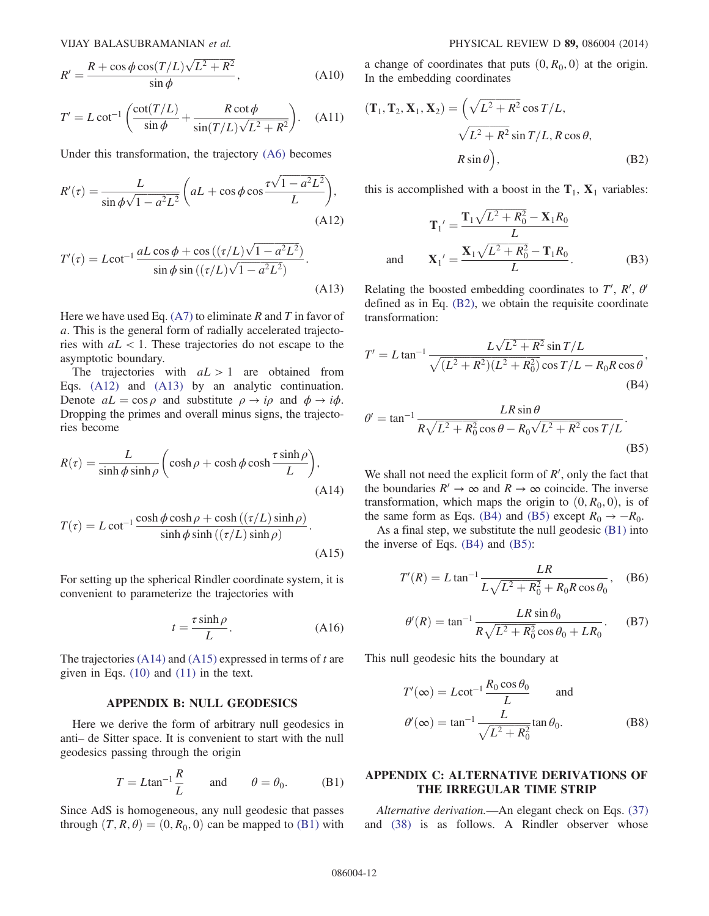$$
R' = \frac{R + \cos\phi\cos(T/L)\sqrt{L^2 + R^2}}{\sin\phi},
$$
 (A10)

$$
T' = L \cot^{-1} \left( \frac{\cot(T/L)}{\sin \phi} + \frac{R \cot \phi}{\sin(T/L) \sqrt{L^2 + R^2}} \right). \quad (A11)
$$

<span id="page-12-3"></span>Under this transformation, the trajectory [\(A6\)](#page-11-4) becomes

$$
R'(\tau) = \frac{L}{\sin \phi \sqrt{1 - a^2 L^2}} \left( aL + \cos \phi \cos \frac{\tau \sqrt{1 - a^2 L^2}}{L} \right),\tag{A12}
$$

<span id="page-12-4"></span>
$$
T'(\tau) = L \cot^{-1} \frac{aL \cos \phi + \cos \left( (\tau/L) \sqrt{1 - a^2 L^2} \right)}{\sin \phi \sin \left( (\tau/L) \sqrt{1 - a^2 L^2} \right)}.
$$
\n(A13)

Here we have used Eq.  $(A7)$  to eliminate R and T in favor of a. This is the general form of radially accelerated trajectories with  $aL < 1$ . These trajectories do not escape to the asymptotic boundary.

The trajectories with  $aL > 1$  are obtained from Eqs. [\(A12\)](#page-12-3) and [\(A13\)](#page-12-4) by an analytic continuation. Denote  $aL = \cos \rho$  and substitute  $\rho \rightarrow i\rho$  and  $\phi \rightarrow i\phi$ . Dropping the primes and overall minus signs, the trajectories become

<span id="page-12-5"></span>
$$
R(\tau) = \frac{L}{\sinh \phi \sinh \rho} \left( \cosh \rho + \cosh \phi \cosh \frac{\tau \sinh \rho}{L} \right),\tag{A14}
$$

<span id="page-12-6"></span>
$$
T(\tau) = L \cot^{-1} \frac{\cosh \phi \cosh \rho + \cosh \left( \frac{\tau}{L} \right) \sinh \rho}{\sinh \phi \sinh \left( \frac{\tau}{L} \right) \sinh \rho}.
$$
\n(A15)

For setting up the spherical Rindler coordinate system, it is convenient to parameterize the trajectories with

$$
t = \frac{\tau \sinh \rho}{L}.
$$
 (A16)

The trajectories  $(A14)$  and  $(A15)$  expressed in terms of t are given in Eqs. [\(10\)](#page-3-3) and [\(11\)](#page-3-4) in the text.

#### APPENDIX B: NULL GEODESICS

<span id="page-12-7"></span><span id="page-12-1"></span>Here we derive the form of arbitrary null geodesics in anti– de Sitter space. It is convenient to start with the null geodesics passing through the origin

$$
T = L \tan^{-1} \frac{R}{L} \quad \text{and} \quad \theta = \theta_0. \quad (B1)
$$

Since AdS is homogeneous, any null geodesic that passes through  $(T, R, \theta) = (0, R_0, 0)$  can be mapped to [\(B1\)](#page-12-7) with <span id="page-12-8"></span>a change of coordinates that puts  $(0, R_0, 0)$  at the origin. In the embedding coordinates

$$
(\mathbf{T}_1, \mathbf{T}_2, \mathbf{X}_1, \mathbf{X}_2) = \left(\sqrt{L^2 + R^2} \cos T/L, \sqrt{L^2 + R^2} \sin T/L, R \cos \theta, \right)
$$
  

$$
R \sin \theta \Big), \tag{B2}
$$

this is accomplished with a boost in the  $T_1$ ,  $X_1$  variables:

$$
\mathbf{T}_1' = \frac{\mathbf{T}_1 \sqrt{L^2 + R_0^2} - \mathbf{X}_1 R_0}{L}
$$
  
and 
$$
\mathbf{X}_1' = \frac{\mathbf{X}_1 \sqrt{L^2 + R_0^2} - \mathbf{T}_1 R_0}{L}.
$$
 (B3)

<span id="page-12-9"></span>Relating the boosted embedding coordinates to  $T'$ ,  $R'$ ,  $\theta'$ defined as in Eq. [\(B2\),](#page-12-8) we obtain the requisite coordinate transformation:

$$
T' = L \tan^{-1} \frac{L\sqrt{L^2 + R^2} \sin T/L}{\sqrt{(L^2 + R^2)(L^2 + R_0^2)} \cos T/L - R_0 R \cos \theta},
$$
\n(B4)

<span id="page-12-10"></span>
$$
\theta' = \tan^{-1} \frac{LR \sin \theta}{R\sqrt{L^2 + R_0^2} \cos \theta - R_0 \sqrt{L^2 + R^2} \cos T/L}.
$$
\n(B5)

We shall not need the explicit form of  $R'$ , only the fact that the boundaries  $R' \to \infty$  and  $R \to \infty$  coincide. The inverse transformation, which maps the origin to  $(0, R_0, 0)$ , is of the same form as Eqs. [\(B4\)](#page-12-9) and [\(B5\)](#page-12-10) except  $R_0 \rightarrow -R_0$ .

As a final step, we substitute the null geodesic [\(B1\)](#page-12-7) into the inverse of Eqs.  $(B4)$  and  $(B5)$ :

$$
T'(R) = L \tan^{-1} \frac{LR}{L\sqrt{L^2 + R_0^2} + R_0 R \cos \theta_0}, \quad (B6)
$$

$$
\theta'(R) = \tan^{-1} \frac{LR \sin \theta_0}{R\sqrt{L^2 + R_0^2} \cos \theta_0 + LR_0}.
$$
 (B7)

<span id="page-12-0"></span>This null geodesic hits the boundary at

$$
T'(\infty) = L \cot^{-1} \frac{R_0 \cos \theta_0}{L} \quad \text{and}
$$

$$
\theta'(\infty) = \tan^{-1} \frac{L}{\sqrt{L^2 + R_0^2}} \tan \theta_0.
$$
 (B8)

## <span id="page-12-2"></span>APPENDIX C: ALTERNATIVE DERIVATIONS OF THE IRREGULAR TIME STRIP

Alternative derivation.—An elegant check on Eqs. [\(37\)](#page-8-0) and [\(38\)](#page-8-1) is as follows. A Rindler observer whose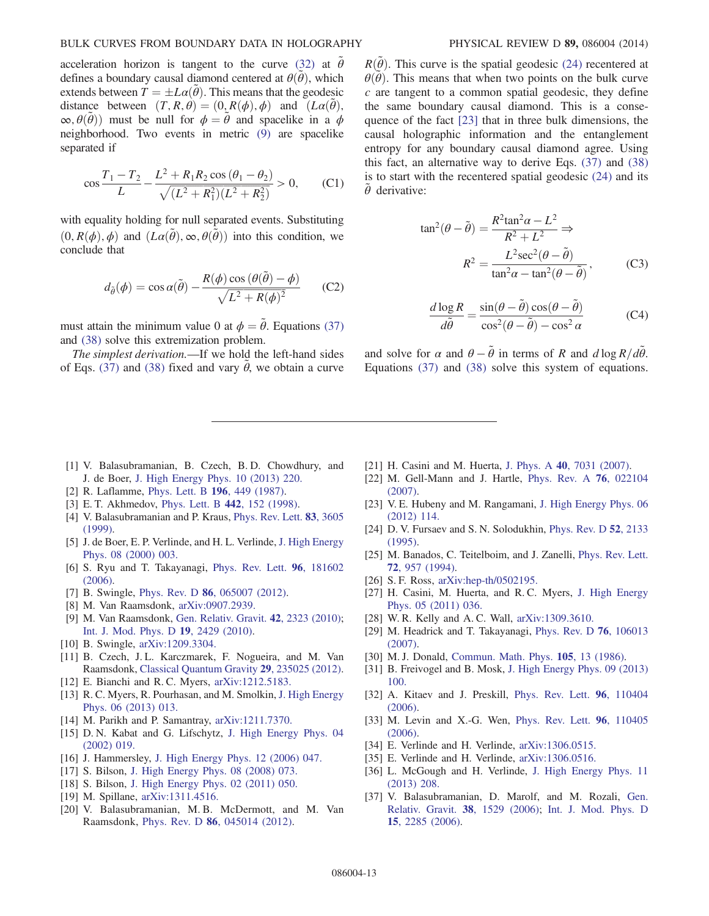#### BULK CURVES FROM BOUNDARY DATA IN HOLOGRAPHY PHYSICAL REVIEW D 89, 086004 (2014)

acceleration horizon is tangent to the curve [\(32\)](#page-7-2) at  $\tilde{\theta}$ defines a boundary causal diamond centered at  $\theta(\tilde{\theta})$ , which extends between  $\overline{T} = \pm L\alpha(\tilde{\theta})$ . This means that the geodesic distance between  $(T, R, \theta) = (0, R(\phi), \phi)$  and  $(L\alpha(\tilde{\theta}),$  $\infty$ ,  $\theta(\tilde{\theta})$  must be null for  $\phi = \tilde{\theta}$  and spacelike in a  $\phi$ neighborhood. Two events in metric [\(9\)](#page-3-7) are spacelike separated if

$$
\cos\frac{T_1 - T_2}{L} - \frac{L^2 + R_1 R_2 \cos(\theta_1 - \theta_2)}{\sqrt{(L^2 + R_1^2)(L^2 + R_2^2)}} > 0,
$$
 (C1)

with equality holding for null separated events. Substituting  $(0, R(\phi), \phi)$  and  $(L\alpha(\tilde{\theta}), \infty, \theta(\tilde{\theta}))$  into this condition, we conclude that

$$
d_{\tilde{\theta}}(\phi) = \cos \alpha(\tilde{\theta}) - \frac{R(\phi)\cos(\theta(\tilde{\theta}) - \phi)}{\sqrt{L^2 + R(\phi)^2}}
$$
 (C2)

must attain the minimum value 0 at  $\phi = \tilde{\theta}$ . Equations [\(37\)](#page-8-0) and [\(38\)](#page-8-1) solve this extremization problem.

The simplest derivation.—If we hold the left-hand sides of Eqs. [\(37\)](#page-8-0) and [\(38\)](#page-8-1) fixed and vary  $\tilde{\theta}$ , we obtain a curve

 $R(\tilde{\theta})$ . This curve is the spatial geodesic [\(24\)](#page-6-3) recentered at  $\theta(\vec{\theta})$ . This means that when two points on the bulk curve  $c$  are tangent to a common spatial geodesic, they define the same boundary causal diamond. This is a consequence of the fact [\[23\]](#page-13-9) that in three bulk dimensions, the causal holographic information and the entanglement entropy for any boundary causal diamond agree. Using this fact, an alternative way to derive Eqs. [\(37\)](#page-8-0) and [\(38\)](#page-8-1) is to start with the recentered spatial geodesic  $(24)$  and its  $\ddot{\theta}$  derivative:

$$
\tan^2(\theta - \tilde{\theta}) = \frac{R^2 \tan^2 \alpha - L^2}{R^2 + L^2} \Rightarrow
$$

$$
R^2 = \frac{L^2 \sec^2(\theta - \tilde{\theta})}{\tan^2 \alpha - \tan^2(\theta - \tilde{\theta})},
$$
(C3)

$$
\frac{d \log R}{d\tilde{\theta}} = \frac{\sin(\theta - \tilde{\theta})\cos(\theta - \tilde{\theta})}{\cos^2(\theta - \tilde{\theta}) - \cos^2\alpha}
$$
 (C4)

and solve for  $\alpha$  and  $\theta - \tilde{\theta}$  in terms of R and  $d \log R/d\tilde{\theta}$ . Equations [\(37\)](#page-8-0) and [\(38\)](#page-8-1) solve this system of equations.

- <span id="page-13-0"></span>[1] V. Balasubramanian, B. Czech, B.D. Chowdhury, and J. de Boer, [J. High Energy Phys. 10 \(2013\) 220.](http://dx.doi.org/10.1007/JHEP10(2013)220)
- <span id="page-13-5"></span>[2] R. Laflamme, [Phys. Lett. B](http://dx.doi.org/10.1016/0370-2693(87)90799-4) 196, 449 (1987).
- <span id="page-13-1"></span>[3] E. T. Akhmedov, [Phys. Lett. B](http://dx.doi.org/10.1016/S0370-2693(98)01270-2) 442, 152 (1998).
- [4] V. Balasubramanian and P. Kraus, [Phys. Rev. Lett.](http://dx.doi.org/10.1103/PhysRevLett.83.3605) 83, 3605 [\(1999\).](http://dx.doi.org/10.1103/PhysRevLett.83.3605)
- [5] J. de Boer, E. P. Verlinde, and H. L. Verlinde, [J. High Energy](http://dx.doi.org/10.1088/1126-6708/2000/08/003) [Phys. 08 \(2000\) 003.](http://dx.doi.org/10.1088/1126-6708/2000/08/003)
- <span id="page-13-2"></span>[6] S. Ryu and T. Takayanagi, [Phys. Rev. Lett.](http://dx.doi.org/10.1103/PhysRevLett.96.181602) 96, 181602 [\(2006\).](http://dx.doi.org/10.1103/PhysRevLett.96.181602)
- <span id="page-13-3"></span>[7] B. Swingle, Phys. Rev. D **86**[, 065007 \(2012\)](http://dx.doi.org/10.1103/PhysRevD.86.065007).
- [8] M. Van Raamsdonk, [arXiv:0907.2939.](http://arXiv.org/abs/0907.2939)
- [9] M. Van Raamsdonk, [Gen. Relativ. Gravit.](http://dx.doi.org/10.1007/s10714-010-1034-0) 42, 2323 (2010); [Int. J. Mod. Phys. D](http://dx.doi.org/10.1142/S0218271810018529) 19, 2429 (2010).
- [10] B. Swingle, [arXiv:1209.3304.](http://arXiv.org/abs/1209.3304)
- <span id="page-13-12"></span>[11] B. Czech, J.L. Karczmarek, F. Nogueira, and M. Van Raamsdonk, [Classical Quantum Gravity](http://dx.doi.org/10.1088/0264-9381/29/23/235025) 29, 235025 (2012).
- [12] E. Bianchi and R. C. Myers, [arXiv:1212.5183.](http://arXiv.org/abs/1212.5183)
- [13] R. C. Myers, R. Pourhasan, and M. Smolkin, [J. High Energy](http://dx.doi.org/10.1007/JHEP06(2013)013) [Phys. 06 \(2013\) 013.](http://dx.doi.org/10.1007/JHEP06(2013)013)
- [14] M. Parikh and P. Samantray, [arXiv:1211.7370.](http://arXiv.org/abs/1211.7370)
- <span id="page-13-6"></span>[15] D. N. Kabat and G. Lifschytz, [J. High Energy Phys. 04](http://dx.doi.org/10.1088/1126-6708/2002/04/019) [\(2002\) 019.](http://dx.doi.org/10.1088/1126-6708/2002/04/019)
- <span id="page-13-7"></span>[16] J. Hammersley, [J. High Energy Phys. 12 \(2006\) 047.](http://dx.doi.org/10.1088/1126-6708/2006/12/047)
- [17] S. Bilson, [J. High Energy Phys. 08 \(2008\) 073.](http://dx.doi.org/10.1088/1126-6708/2008/08/073)
- [18] S. Bilson, [J. High Energy Phys. 02 \(2011\) 050.](http://dx.doi.org/10.1007/JHEP02(2011)050)
- [19] M. Spillane, [arXiv:1311.4516.](http://arXiv.org/abs/1311.4516)
- <span id="page-13-4"></span>[20] V. Balasubramanian, M. B. McDermott, and M. Van Raamsdonk, Phys. Rev. D 86[, 045014 \(2012\)](http://dx.doi.org/10.1103/PhysRevD.86.045014).
- <span id="page-13-10"></span>[21] H. Casini and M. Huerta, J. Phys. A 40[, 7031 \(2007\)](http://dx.doi.org/10.1088/1751-8113/40/25/S57).
- <span id="page-13-8"></span>[22] M. Gell-Mann and J. Hartle, [Phys. Rev. A](http://dx.doi.org/10.1103/PhysRevA.76.022104) 76, 022104 [\(2007\).](http://dx.doi.org/10.1103/PhysRevA.76.022104)
- <span id="page-13-9"></span>[23] V. E. Hubeny and M. Rangamani, [J. High Energy Phys. 06](http://dx.doi.org/10.1007/JHEP06(2012)114) [\(2012\) 114.](http://dx.doi.org/10.1007/JHEP06(2012)114)
- <span id="page-13-11"></span>[24] D. V. Fursaev and S. N. Solodukhin, [Phys. Rev. D](http://dx.doi.org/10.1103/PhysRevD.52.2133) 52, 2133 [\(1995\).](http://dx.doi.org/10.1103/PhysRevD.52.2133)
- [25] M. Banados, C. Teitelboim, and J. Zanelli, [Phys. Rev. Lett.](http://dx.doi.org/10.1103/PhysRevLett.72.957) 72[, 957 \(1994\).](http://dx.doi.org/10.1103/PhysRevLett.72.957)
- [26] S. F. Ross, [arXiv:hep-th/0502195.](http://arXiv.org/abs/hep-th/0502195)
- <span id="page-13-20"></span>[27] H. Casini, M. Huerta, and R. C. Myers, [J. High Energy](http://dx.doi.org/10.1007/JHEP05(2011)036) [Phys. 05 \(2011\) 036.](http://dx.doi.org/10.1007/JHEP05(2011)036)
- <span id="page-13-13"></span>[28] W. R. Kelly and A. C. Wall, [arXiv:1309.3610.](http://arXiv.org/abs/1309.3610)
- <span id="page-13-14"></span>[29] M. Headrick and T. Takayanagi, [Phys. Rev. D](http://dx.doi.org/10.1103/PhysRevD.76.106013) 76, 106013 [\(2007\).](http://dx.doi.org/10.1103/PhysRevD.76.106013)
- <span id="page-13-15"></span>[30] M. J. Donald, [Commun. Math. Phys.](http://dx.doi.org/10.1007/BF01212339) **105**, 13 (1986).
- <span id="page-13-16"></span>[31] B. Freivogel and B. Mosk, [J. High Energy Phys. 09 \(2013\)](http://dx.doi.org/10.1007/JHEP09(2013)100) [100.](http://dx.doi.org/10.1007/JHEP09(2013)100)
- <span id="page-13-17"></span>[32] A. Kitaev and J. Preskill, [Phys. Rev. Lett.](http://dx.doi.org/10.1103/PhysRevLett.96.110404) 96, 110404 [\(2006\).](http://dx.doi.org/10.1103/PhysRevLett.96.110404)
- [33] M. Levin and X.-G. Wen, [Phys. Rev. Lett.](http://dx.doi.org/10.1103/PhysRevLett.96.110405) 96, 110405 [\(2006\).](http://dx.doi.org/10.1103/PhysRevLett.96.110405)
- <span id="page-13-18"></span>[34] E. Verlinde and H. Verlinde, [arXiv:1306.0515.](http://arXiv.org/abs/1306.0515)
- [35] E. Verlinde and H. Verlinde, [arXiv:1306.0516.](http://arXiv.org/abs/1306.0516)
- [36] L. McGough and H. Verlinde, [J. High Energy Phys. 11](http://dx.doi.org/10.1007/JHEP11(2013)208) [\(2013\) 208.](http://dx.doi.org/10.1007/JHEP11(2013)208)
- <span id="page-13-19"></span>[37] V. Balasubramanian, D. Marolf, and M. Rozali, [Gen.](http://dx.doi.org/10.1007/s10714-006-0344-8) [Relativ. Gravit.](http://dx.doi.org/10.1007/s10714-006-0344-8) 38, 1529 (2006); [Int. J. Mod. Phys. D](http://dx.doi.org/10.1142/S0218271806009765) 15[, 2285 \(2006\)](http://dx.doi.org/10.1142/S0218271806009765).